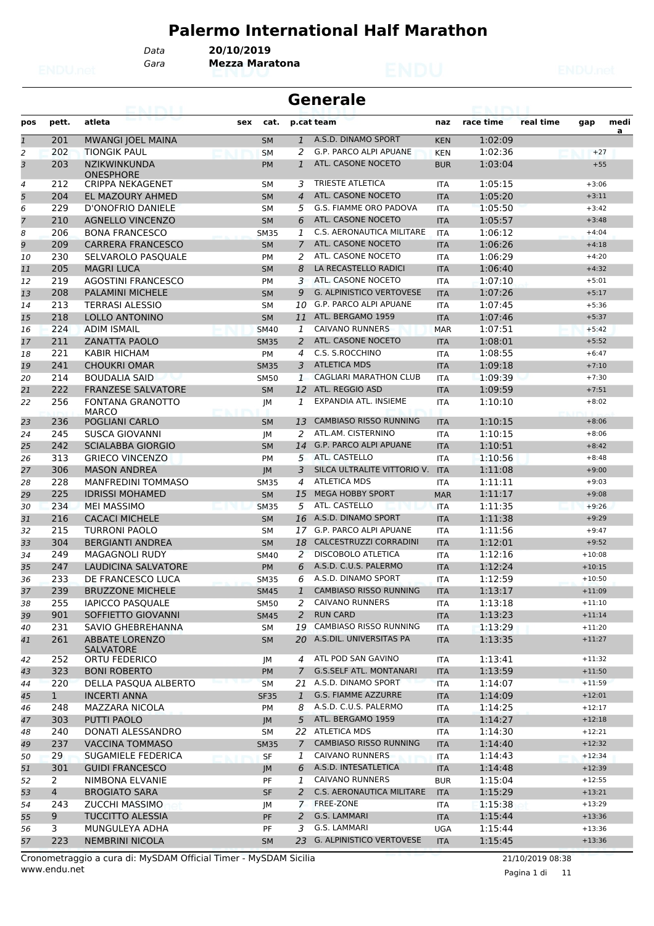# **Palermo International Half Marathon**

*Data* **20/10/2019**

*Gara* **Mezza Maratona**

|                |                | <b>ISBN 6-8-8-70-8-8-8</b>                  |                        |                     | <b>Generale</b>                                 |                          | <b>ETAIL</b>       |           |                    |           |
|----------------|----------------|---------------------------------------------|------------------------|---------------------|-------------------------------------------------|--------------------------|--------------------|-----------|--------------------|-----------|
| pos            | pett.          | atleta                                      | sex<br>cat.            |                     | p.cat team                                      | naz                      | race time          | real time | gap                | medi<br>a |
| $\mathbf{1}$   | 201            | <b>MWANGI JOEL MAINA</b>                    | <b>SM</b>              | $\mathbf{1}$        | A.S.D. DINAMO SPORT                             | <b>KEN</b>               | 1:02:09            |           |                    |           |
| $\overline{c}$ | 202            | <b>TIONGIK PAUL</b>                         | <b>SM</b>              | 2                   | G.P. PARCO ALPI APUANE                          | <b>KEN</b>               | 1:02:36            |           | $+27$              |           |
| 3              | 203            | <b>NZIKWINKUNDA</b>                         | <b>PM</b>              | $\mathbf{1}$        | ATL. CASONE NOCETO                              | <b>BUR</b>               | 1:03:04            |           | $+55$              |           |
|                |                | ONESPHORE                                   |                        |                     | <b>TRIESTE ATLETICA</b>                         |                          |                    |           | $+3:06$            |           |
| 4<br>5         | 212<br>204     | <b>CRIPPA NEKAGENET</b><br>EL MAZOURY AHMED | SМ                     | 3<br>$\overline{4}$ | ATL. CASONE NOCETO                              | <b>ITA</b>               | 1:05:15<br>1:05:20 |           | $+3:11$            |           |
| 6              | 229            | D'ONOFRIO DANIELE                           | <b>SM</b><br><b>SM</b> | 5                   | G.S. FIAMME ORO PADOVA                          | <b>ITA</b><br><b>ITA</b> | 1:05:50            |           | $+3:42$            |           |
| 7              | 210            | <b>AGNELLO VINCENZO</b>                     | <b>SM</b>              | 6                   | ATL. CASONE NOCETO                              | <b>ITA</b>               | 1:05:57            |           | $+3:48$            |           |
| 8              | 206            | <b>BONA FRANCESCO</b>                       | <b>SM35</b>            | 1                   | C.S. AERONAUTICA MILITARE                       | <b>ITA</b>               | 1:06:12            |           | $+4:04$            |           |
| 9              | 209            | <b>CARRERA FRANCESCO</b>                    | <b>SM</b>              | $\overline{7}$      | ATL. CASONE NOCETO                              | <b>ITA</b>               | 1:06:26            |           | $+4:18$            |           |
| 10             | 230            | SELVAROLO PASQUALE                          | PM                     | 2                   | ATL. CASONE NOCETO                              | <b>ITA</b>               | 1:06:29            |           | $+4:20$            |           |
| 11             | 205            | <b>MAGRI LUCA</b>                           | <b>SM</b>              | 8                   | LA RECASTELLO RADICI                            | <b>ITA</b>               | 1:06:40            |           | $+4:32$            |           |
| 12             | 219            | <b>AGOSTINI FRANCESCO</b>                   | <b>PM</b>              | 3                   | ATL. CASONE NOCETO                              | <b>ITA</b>               | 1:07:10            |           | $+5:01$            |           |
| 13             | 208            | <b>PALAMINI MICHELE</b>                     | <b>SM</b>              | 9                   | <b>G. ALPINISTICO VERTOVESE</b>                 | <b>ITA</b>               | 1:07:26            |           | $+5:17$            |           |
| 14             | 213            | <b>TERRASI ALESSIO</b>                      | <b>SM</b>              | 10                  | G.P. PARCO ALPI APUANE                          | <b>ITA</b>               | 1:07:45            |           | $+5:36$            |           |
| 15             | 218            | <b>LOLLO ANTONINO</b>                       | <b>SM</b>              | 11                  | ATL. BERGAMO 1959                               | <b>ITA</b>               | 1:07:46            |           | $+5:37$            |           |
| 16             | 224            | <b>ADIM ISMAIL</b>                          | <b>SM40</b>            | 1                   | <b>CAIVANO RUNNERS</b>                          | <b>MAR</b>               | 1:07:51            |           | $+5:42$            |           |
| 17             | 211            | <b>ZANATTA PAOLO</b>                        | <b>SM35</b>            | 2                   | ATL. CASONE NOCETO                              | <b>ITA</b>               | 1:08:01            |           | $+5:52$            |           |
| 18             | 221            | KABIR HICHAM                                | PM                     | 4                   | C.S. S.ROCCHINO                                 | <b>ITA</b>               | 1:08:55            |           | $+6:47$            |           |
| 19             | 241            | <b>CHOUKRI OMAR</b>                         | <b>SM35</b>            | 3                   | <b>ATLETICA MDS</b>                             | <b>ITA</b>               | 1:09:18            |           | $+7:10$            |           |
| 20             | 214            | <b>BOUDALIA SAID</b>                        | <b>SM50</b>            | $\mathbf{1}$        | <b>CAGLIARI MARATHON CLUB</b>                   | <b>ITA</b>               | 1:09:39            |           | $+7:30$            |           |
| 21             | 222            | <b>FRANZESE SALVATORE</b>                   | <b>SM</b>              | 12                  | ATL. REGGIO ASD                                 | <b>ITA</b>               | 1:09:59            |           | $+7:51$            |           |
| 22             | 256            | <b>FONTANA GRANOTTO</b>                     | JM                     | 1                   | EXPANDIA ATL. INSIEME                           | <b>ITA</b>               | 1:10:10            |           | $+8:02$            |           |
|                |                | <b>MARCO</b>                                |                        |                     |                                                 |                          |                    |           |                    |           |
| 23             | 236            | POGLIANI CARLO                              | <b>SM</b>              | 13                  | <b>CAMBIASO RISSO RUNNING</b>                   | <b>ITA</b>               | 1:10:15            |           | $+8:06$            |           |
| 24             | 245            | SUSCA GIOVANNI                              | JМ                     | 2                   | ATL.AM. CISTERNINO                              | <b>ITA</b>               | 1:10:15            |           | $+8:06$            |           |
| 25             | 242            | <b>SCIALABBA GIORGIO</b>                    | <b>SM</b>              | 14                  | <b>G.P. PARCO ALPI APUANE</b>                   | <b>ITA</b>               | 1:10:51            |           | $+8:42$            |           |
| 26             | 313            | <b>GRIECO VINCENZO</b>                      | <b>PM</b>              | 5                   | ATL. CASTELLO                                   | <b>ITA</b>               | 1:10:56            |           | $+8:48$            |           |
| 27             | 306            | <b>MASON ANDREA</b>                         | <b>JM</b>              | 3                   | SILCA ULTRALITE VITTORIO V.                     | <b>ITA</b>               | 1:11:08            |           | $+9:00$            |           |
| 28             | 228            | <b>MANFREDINI TOMMASO</b>                   | <b>SM35</b>            | 4                   | <b>ATLETICA MDS</b>                             | <b>ITA</b>               | 1:11:11            |           | $+9:03$            |           |
| 29             | 225            | <b>IDRISSI MOHAMED</b>                      | <b>SM</b>              | 15                  | <b>MEGA HOBBY SPORT</b><br>ATL. CASTELLO        | <b>MAR</b>               | 1:11:17            |           | $+9:08$            |           |
| 30             | 234<br>216     | <b>MEI MASSIMO</b><br><b>CACACI MICHELE</b> | <b>SM35</b>            | 5<br>16             | A.S.D. DINAMO SPORT                             | <b>ITA</b>               | 1:11:35<br>1:11:38 |           | $+9:26$<br>$+9:29$ |           |
| 31<br>32       | 215            | TURRONI PAOLO                               | <b>SM</b>              | 17                  | G.P. PARCO ALPI APUANE                          | <b>ITA</b><br><b>ITA</b> | 1:11:56            |           | $+9:47$            |           |
| 33             | 304            | <b>BERGIANTI ANDREA</b>                     | SΜ<br><b>SM</b>        | 18                  | CALCESTRUZZI CORRADINI                          | <b>ITA</b>               | 1:12:01            |           | $+9:52$            |           |
| 34             | 249            | <b>MAGAGNOLI RUDY</b>                       | SM40                   | 2                   | <b>DISCOBOLO ATLETICA</b>                       | <b>ITA</b>               | 1:12:16            |           | $+10:08$           |           |
| 35             | 247            | <b>LAUDICINA SALVATORE</b>                  | PM                     | 6                   | A.S.D. C.U.S. PALERMO                           | <b>ITA</b>               | 1:12:24            |           | $+10:15$           |           |
| 36             | 233            | DE FRANCESCO LUCA                           | <b>SM35</b>            | 6                   | A.S.D. DINAMO SPORT                             | <b>ITA</b>               | 1:12:59            |           | $+10:50$           |           |
| 37             | 239            | <b>BRUZZONE MICHELE</b>                     | <b>SM45</b>            | 1                   | <b>CAMBIASO RISSO RUNNING</b>                   | <b>ITA</b>               | 1:13:17            |           | $+11:09$           |           |
| 38             | 255            | <b>IAPICCO PASQUALE</b>                     | SM50                   | 2                   | <b>CAIVANO RUNNERS</b>                          | ITA                      | 1:13:18            |           | $+11:10$           |           |
| 39             | 901            | SOFFIETTO GIOVANNI                          | <b>SM45</b>            | $\overline{2}$      | <b>RUN CARD</b>                                 | <b>ITA</b>               | 1:13:23            |           | $+11:14$           |           |
| 40             | 231            | SAVIO GHEBREHANNA                           | SΜ                     | 19                  | CAMBIASO RISSO RUNNING                          | ITA                      | 1:13:29            |           | $+11:20$           |           |
| 41             | 261            | <b>ABBATE LORENZO</b>                       | <b>SM</b>              | 20                  | A.S.DIL. UNIVERSITAS PA                         | <b>ITA</b>               | 1:13:35            |           | $+11:27$           |           |
|                |                | <b>SALVATORE</b>                            |                        |                     |                                                 |                          |                    |           |                    |           |
| 42             | 252            | ORTU FEDERICO                               | JМ                     | 4                   | ATL POD SAN GAVINO                              | ITA                      | 1:13:41            |           | $+11:32$           |           |
| 43             | 323            | <b>BONI ROBERTO</b>                         | <b>PM</b>              | 7                   | <b>G.S.SELF ATL. MONTANARI</b>                  | <b>ITA</b>               | 1:13:59            |           | $+11:50$           |           |
| 44             | 220            | DELLA PASQUA ALBERTO                        | <b>SM</b>              | 21                  | A.S.D. DINAMO SPORT                             | <b>ITA</b>               | 1:14:07            |           | $+11:59$           |           |
| 45             | $\mathbf{1}$   | <b>INCERTI ANNA</b>                         | <b>SF35</b>            | $\mathbf{1}$        | G.S. FIAMME AZZURRE                             | <b>ITA</b>               | 1:14:09            |           | $+12:01$           |           |
| 46             | 248            | MAZZARA NICOLA                              | PM                     | 8                   | A.S.D. C.U.S. PALERMO                           | ITA                      | 1:14:25            |           | $+12:17$           |           |
| 47             | 303            | PUTTI PAOLO                                 | JM                     | 5 <sup>5</sup>      | ATL. BERGAMO 1959                               | <b>ITA</b>               | 1:14:27            |           | $+12:18$           |           |
| 48             | 240            | DONATI ALESSANDRO                           | SM                     |                     | 22 ATLETICA MDS                                 | ITA                      | 1:14:30            |           | $+12:21$           |           |
| 49             | 237            | <b>VACCINA TOMMASO</b>                      | <b>SM35</b>            | 7                   | <b>CAMBIASO RISSO RUNNING</b>                   | <b>ITA</b>               | 1:14:40            |           | $+12:32$           |           |
| 50             | 29             | SUGAMIELE FEDERICA                          | SF                     | 1                   | <b>CAIVANO RUNNERS</b>                          | ITA                      | 1:14:43            |           | $+12:34$           |           |
| 51             | 301            | <b>GUIDI FRANCESCO</b>                      | JM                     | 6                   | A.S.D. INTESATLETICA                            | <b>ITA</b>               | 1:14:48            |           | $+12:39$           |           |
| 52             | 2              | NIMBONA ELVANIE                             | PF                     | 1                   | <b>CAIVANO RUNNERS</b>                          | <b>BUR</b>               | 1:15:04            |           | $+12:55$           |           |
| 53             | $\overline{4}$ | <b>BROGIATO SARA</b>                        | <b>SF</b>              | $\overline{2}$      | C.S. AERONAUTICA MILITARE                       | <b>ITA</b>               | 1:15:29            |           | $+13:21$           |           |
| 54             | 243            | ZUCCHI MASSIMO                              | JМ                     |                     | 7 FREE-ZONE                                     | ITA                      | 1:15:38            |           | $+13:29$           |           |
| 55             | 9              | <b>TUCCITTO ALESSIA</b>                     | PF                     | 2                   | G.S. LAMMARI                                    | <b>ITA</b>               | 1:15:44            |           | $+13:36$           |           |
| 56             | 3              | MUNGULEYA ADHA                              | PF                     | 3                   | G.S. LAMMARI<br><b>G. ALPINISTICO VERTOVESE</b> | <b>UGA</b>               | 1:15:44            |           | $+13:36$           |           |
| 57             | 223            | <b>NEMBRINI NICOLA</b>                      | <b>SM</b>              | 23                  |                                                 | <b>ITA</b>               | 1:15:45            |           | $+13:36$           |           |

www.endu.net Cronometraggio a cura di: MySDAM Official Timer - MySDAM Sicilia 21/10/2019 08:38

Pagina 1 di 11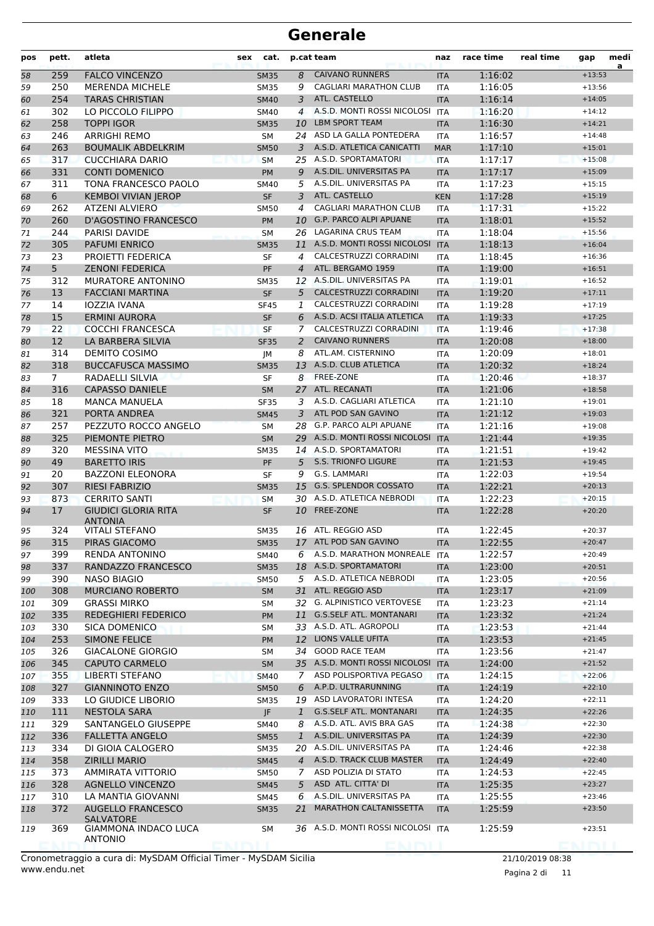| pos | pett.          | atleta                                        | sex | cat.        |                | p.cat team                         | naz        | race time | real time | gap             | medi<br>a |
|-----|----------------|-----------------------------------------------|-----|-------------|----------------|------------------------------------|------------|-----------|-----------|-----------------|-----------|
| 58  | 259            | <b>FALCO VINCENZO</b>                         |     | <b>SM35</b> | 8              | <b>CAIVANO RUNNERS</b>             | <b>ITA</b> | 1:16:02   |           | $+13:53$        |           |
| 59  | 250            | <b>MERENDA MICHELE</b>                        |     | <b>SM35</b> | 9              | <b>CAGLIARI MARATHON CLUB</b>      | <b>ITA</b> | 1:16:05   |           | $+13:56$        |           |
| 60  | 254            | <b>TARAS CHRISTIAN</b>                        |     | <b>SM40</b> | 3              | ATL. CASTELLO                      | <b>ITA</b> | 1:16:14   |           | $+14:05$        |           |
| 61  | 302            | LO PICCOLO FILIPPO                            |     | <b>SM40</b> | $\overline{4}$ | A.S.D. MONTI ROSSI NICOLOSI        | <b>ITA</b> | 1:16:20   |           | $+14:12$        |           |
| 62  | 258            | <b>TOPPI IGOR</b>                             |     | <b>SM35</b> | 10             | <b>LBM SPORT TEAM</b>              | <b>ITA</b> | 1:16:30   |           | $+14:21$        |           |
| 63  | 246            | <b>ARRIGHI REMO</b>                           |     | <b>SM</b>   |                | 24 ASD LA GALLA PONTEDERA          | <b>ITA</b> | 1:16:57   |           | $+14:48$        |           |
| 64  | 263            | <b>BOUMALIK ABDELKRIM</b>                     |     | <b>SM50</b> | 3              | A.S.D. ATLETICA CANICATTI          | <b>MAR</b> | 1:17:10   |           | $+15:01$        |           |
| 65  | 317            | <b>CUCCHIARA DARIO</b>                        |     | <b>SM</b>   |                | 25 A.S.D. SPORTAMATORI             | <b>ITA</b> | 1:17:17   |           | $+15:08$        |           |
| 66  | 331            | <b>CONTI DOMENICO</b>                         |     | <b>PM</b>   | 9              | A.S.DIL. UNIVERSITAS PA            | <b>ITA</b> | 1:17:17   |           | $+15:09$        |           |
| 67  | 311            | TONA FRANCESCO PAOLO                          |     | <b>SM40</b> | 5              | A.S.DIL. UNIVERSITAS PA            | <b>ITA</b> | 1:17:23   |           | $+15:15$        |           |
| 68  | 6              | <b>KEMBOI VIVIAN JEROP</b>                    |     | <b>SF</b>   | 3              | ATL. CASTELLO                      | <b>KEN</b> | 1:17:28   |           | $+15:19$        |           |
| 69  | 262            | ATZENI ALVIERO                                |     | <b>SM50</b> | 4              | <b>CAGLIARI MARATHON CLUB</b>      | <b>ITA</b> | 1:17:31   |           | $+15:22$        |           |
| 70  | 260            | <b>D'AGOSTINO FRANCESCO</b>                   |     | PM          | 10             | <b>G.P. PARCO ALPI APUANE</b>      | <b>ITA</b> | 1:18:01   |           | $+15:52$        |           |
| 71  | 244            | PARISI DAVIDE                                 |     | <b>SM</b>   |                | 26 LAGARINA CRUS TEAM              | <b>ITA</b> | 1:18:04   |           | $+15:56$        |           |
| 72  | 305            | <b>PAFUMI ENRICO</b>                          |     | <b>SM35</b> | 11             | A.S.D. MONTI ROSSI NICOLOSI        | <b>ITA</b> | 1:18:13   |           | $+16:04$        |           |
| 73  | 23             | PROIETTI FEDERICA                             |     | SF          | 4              | CALCESTRUZZI CORRADINI             | <b>ITA</b> | 1:18:45   |           | $+16:36$        |           |
| 74  | 5              | <b>ZENONI FEDERICA</b>                        |     | PF          | $\overline{4}$ | ATL. BERGAMO 1959                  | <b>ITA</b> | 1:19:00   |           | $+16:51$        |           |
| 75  | 312            | <b>MURATORE ANTONINO</b>                      |     | <b>SM35</b> |                | 12 A.S.DIL. UNIVERSITAS PA         | <b>ITA</b> | 1:19:01   |           | $+16:52$        |           |
| 76  | 13             | <b>FACCIANI MARTINA</b>                       |     | <b>SF</b>   | 5              | CALCESTRUZZI CORRADINI             | <b>ITA</b> | 1:19:20   |           | $+17:11$        |           |
| 77  | 14             | <b>IOZZIA IVANA</b>                           |     | <b>SF45</b> | 1              | CALCESTRUZZI CORRADINI             | <b>ITA</b> | 1:19:28   |           | $+17:19$        |           |
| 78  | 15             | <b>ERMINI AURORA</b>                          |     | <b>SF</b>   | 6              | A.S.D. ACSI ITALIA ATLETICA        | <b>ITA</b> | 1:19:33   |           | $+17:25$        |           |
| 79  | 22             | <b>COCCHI FRANCESCA</b>                       |     | <b>SF</b>   | 7              | CALCESTRUZZI CORRADINI             | <b>ITA</b> | 1:19:46   |           | $+17:38$        |           |
| 80  | 12             | LA BARBERA SILVIA                             |     | <b>SF35</b> | 2              | <b>CAIVANO RUNNERS</b>             | <b>ITA</b> | 1:20:08   |           | $+18:00$        |           |
| 81  | 314            | DEMITO COSIMO                                 |     | JM          | 8              | ATL.AM. CISTERNINO                 | <b>ITA</b> | 1:20:09   |           | $+18:01$        |           |
| 82  | 318            | <b>BUCCAFUSCA MASSIMO</b>                     |     | <b>SM35</b> | 13             | A.S.D. CLUB ATLETICA               | <b>ITA</b> | 1:20:32   |           | $+18:24$        |           |
| 83  | $\overline{7}$ | RADAELLI SILVIA                               |     | <b>SF</b>   |                | 8 FREE-ZONE                        | <b>ITA</b> | 1:20:46   |           | $+18:37$        |           |
| 84  | 316            | <b>CAPASSO DANIELE</b>                        |     | <b>SM</b>   | 27             | ATL. RECANATI                      | <b>ITA</b> | 1:21:06   |           | $+18:58$        |           |
| 85  | 18             | <b>MANCA MANUELA</b>                          |     | <b>SF35</b> | 3              | A.S.D. CAGLIARI ATLETICA           | <b>ITA</b> | 1:21:10   |           | $+19:01$        |           |
| 86  | 321            | PORTA ANDREA                                  |     | <b>SM45</b> | 3              | ATL POD SAN GAVINO                 | <b>ITA</b> | 1:21:12   |           | $+19:03$        |           |
| 87  | 257            | PEZZUTO ROCCO ANGELO                          |     | <b>SM</b>   |                | 28 G.P. PARCO ALPI APUANE          | <b>ITA</b> | 1:21:16   |           | $+19:08$        |           |
| 88  | 325            | PIEMONTE PIETRO                               |     | <b>SM</b>   |                | 29 A.S.D. MONTI ROSSI NICOLOSI     | <b>ITA</b> | 1:21:44   |           | $+19:35$        |           |
| 89  | 320            | <b>MESSINA VITO</b>                           |     | <b>SM35</b> |                | 14 A.S.D. SPORTAMATORI             | <b>ITA</b> | 1:21:51   |           | $+19:42$        |           |
| 90  | 49             | <b>BARETTO IRIS</b>                           |     | <b>PF</b>   | 5              | <b>S.S. TRIONFO LIGURE</b>         | <b>ITA</b> | 1:21:53   |           | $+19:45$        |           |
| 91  | 20             | <b>BAZZONI ELEONORA</b>                       |     | <b>SF</b>   | 9              | G.S. LAMMARI                       | <b>ITA</b> | 1:22:03   |           | $+19:54$        |           |
| 92  | 307            | <b>RIESI FABRIZIO</b>                         |     | <b>SM35</b> | 15             | <b>G.S. SPLENDOR COSSATO</b>       | <b>ITA</b> | 1:22:21   |           | $+20:13$        |           |
| 93  | 873            | <b>CERRITO SANTI</b>                          |     | <b>SM</b>   |                | 30 A.S.D. ATLETICA NEBRODI         | <b>ITA</b> | 1:22:23   |           | $+20:15$        |           |
| 94  | 17             | <b>GIUDICI GLORIA RITA</b><br><b>ANTONIA</b>  |     | <b>SF</b>   | 10             | FREE-ZONE                          | <b>ITA</b> | 1:22:28   |           | $+20:20$        |           |
| 95  | 324            | <b>VITALI STEFANO</b>                         |     | SM35        |                | 16 ATL. REGGIO ASD                 | ITA        | 1:22:45   |           | $+20:37$        |           |
| 96  | 315            | PIRAS GIACOMO                                 |     | <b>SM35</b> |                | 17 ATL POD SAN GAVINO              | <b>ITA</b> | 1:22:55   |           | $+20:47$        |           |
| 97  | 399            | <b>RENDA ANTONINO</b>                         |     | SM40        |                | 6 A.S.D. MARATHON MONREALE         | <b>ITA</b> | 1:22:57   |           | $+20:49$        |           |
| 98  | 337            | RANDAZZO FRANCESCO                            |     | SM35        |                | 18 A.S.D. SPORTAMATORI             | <b>ITA</b> | 1:23:00   |           | $+20:51$        |           |
| 99  | 390            | NASO BIAGIO                                   |     | <b>SM50</b> |                | 5 A.S.D. ATLETICA NEBRODI          | ITA        | 1:23:05   |           | $+20:56$        |           |
| 100 | 308            | <b>MURCIANO ROBERTO</b>                       |     | <b>SM</b>   |                | 31 ATL. REGGIO ASD                 | <b>ITA</b> | 1:23:17   |           | $+21:09$        |           |
| 101 | 309            | <b>GRASSI MIRKO</b>                           |     | SM          |                | 32 G. ALPINISTICO VERTOVESE        | ITA        | 1:23:23   |           | $+21:14$        |           |
| 102 | 335            | <b>REDEGHIERI FEDERICO</b>                    |     | <b>PM</b>   |                | 11 G.S.SELF ATL. MONTANARI         | <b>ITA</b> | 1:23:32   |           | $+21:24$        |           |
| 103 | 330            | SICA DOMENICO                                 |     | SΜ          |                | 33 A.S.D. ATL. AGROPOLI            | ITA        | 1:23:53   |           | $+21:44$        |           |
| 104 | 253            | SIMONE FELICE                                 |     | PM          | 12             | LIONS VALLE UFITA                  | <b>ITA</b> | 1:23:53   |           | $+21:45$        |           |
| 105 | 326            | <b>GIACALONE GIORGIO</b>                      |     | SM          |                | 34 GOOD RACE TEAM                  | <b>ITA</b> | 1:23:56   |           | $+21:47$        |           |
| 106 | 345            | <b>CAPUTO CARMELO</b>                         |     | <b>SM</b>   |                | 35 A.S.D. MONTI ROSSI NICOLOSI     | <b>ITA</b> | 1:24:00   |           | $+21:52$        |           |
| 107 | 355            | <b>LIBERTI STEFANO</b>                        |     | <b>SM40</b> | 7              | ASD POLISPORTIVA PEGASO            | <b>ITA</b> | 1:24:15   |           | $+22:06$        |           |
| 108 | 327            | <b>GIANNINOTO ENZO</b>                        |     | <b>SM50</b> | 6              | A.P.D. ULTRARUNNING                | <b>ITA</b> | 1:24:19   |           | $+22:10$        |           |
| 109 | 333            | LO GIUDICE LIBORIO                            |     | <b>SM35</b> |                | 19 ASD LAVORATORI INTESA           | ITA        | 1:24:20   |           | $+22:11$        |           |
| 110 | 111            | <b>NESTOLA SARA</b>                           |     | JF          | $\mathbf{1}$   | <b>G.S.SELF ATL. MONTANARI</b>     | <b>ITA</b> | 1:24:35   |           | $+22:26$        |           |
| 111 | 329            | SANTANGELO GIUSEPPE                           |     | <b>SM40</b> | 8              | A.S.D. ATL. AVIS BRA GAS           | <b>ITA</b> | 1:24:38   |           | $+22:30$        |           |
| 112 | 336            | <b>FALLETTA ANGELO</b>                        |     | <b>SM55</b> | $\mathbf{1}$   | A.S.DIL. UNIVERSITAS PA            | <b>ITA</b> | 1:24:39   |           | $+22:30$        |           |
| 113 | 334            | DI GIOIA CALOGERO                             |     | <b>SM35</b> |                | 20 A.S.DIL. UNIVERSITAS PA         | ITA        | 1:24:46   |           | $+22:38$        |           |
| 114 | 358            | <b>ZIRILLI MARIO</b>                          |     | <b>SM45</b> |                | 4 A.S.D. TRACK CLUB MASTER         | <b>ITA</b> | 1:24:49   |           | $+22:40$        |           |
| 115 | 373            | AMMIRATA VITTORIO                             |     | <b>SM50</b> | 7              | ASD POLIZIA DI STATO               | ITA        | 1:24:53   |           | $+22:45$        |           |
| 116 | 328            | <b>AGNELLO VINCENZO</b>                       |     | <b>SM45</b> | 5              | ASD ATL. CITTA' DI                 | <b>ITA</b> | 1:25:35   |           | $+23:27$        |           |
| 117 | 310            | LA MANTIA GIOVANNI                            |     | <b>SM45</b> | 6              | A.S.DIL. UNIVERSITAS PA            | <b>ITA</b> | 1:25:55   |           | $+23:46$        |           |
| 118 | 372            | <b>AUGELLO FRANCESCO</b><br>SALVATORE         |     | <b>SM35</b> | 21             | MARATHON CALTANISSETTA             | <b>ITA</b> | 1:25:59   |           | $+23:50$        |           |
| 119 | 369            | <b>GIAMMONA INDACO LUCA</b><br><b>ANTONIO</b> |     | SM          |                | 36 A.S.D. MONTI ROSSI NICOLOSI ITA |            | 1:25:59   |           | $+23:51$        |           |
|     |                |                                               |     |             |                |                                    |            |           |           | <b>KITALI 1</b> |           |

Pagina 2 di 11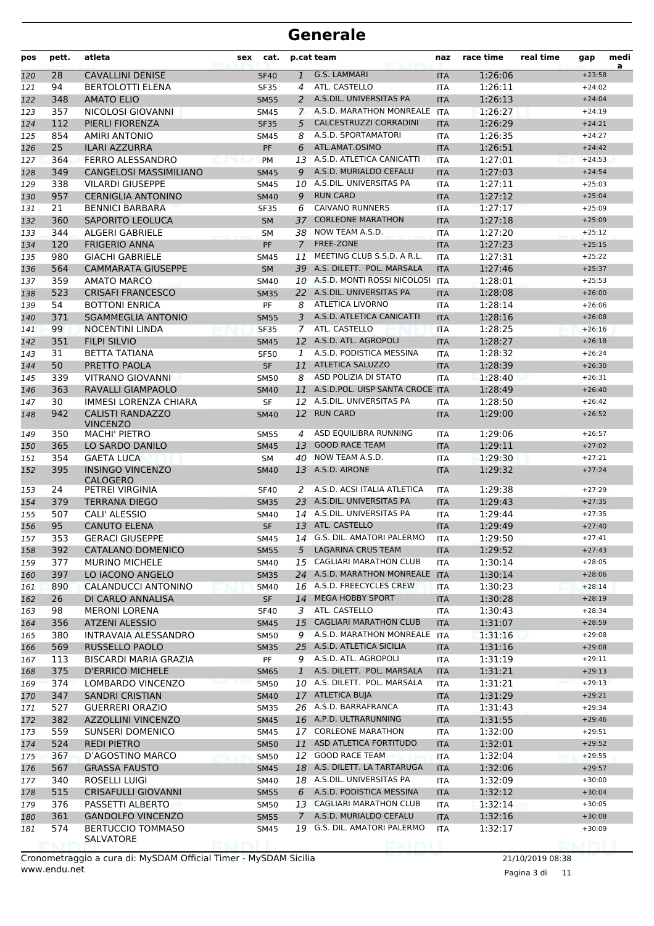| pos | pett. | atleta                                     | sex | cat.        |                | p.cat team                      | naz        | race time | real time | gap             | medi<br>a |
|-----|-------|--------------------------------------------|-----|-------------|----------------|---------------------------------|------------|-----------|-----------|-----------------|-----------|
| 120 | 28    | <b>CAVALLINI DENISE</b>                    |     | <b>SF40</b> | $\mathbf{1}$   | G.S. LAMMARI                    | <b>ITA</b> | 1:26:06   |           | $+23:58$        |           |
| 121 | 94    | <b>BERTOLOTTI ELENA</b>                    |     | <b>SF35</b> | 4              | ATL. CASTELLO                   | <b>ITA</b> | 1:26:11   |           | $+24:02$        |           |
| 122 | 348   | <b>AMATO ELIO</b>                          |     | <b>SM55</b> | 2              | A.S.DIL. UNIVERSITAS PA         | <b>ITA</b> | 1:26:13   |           | $+24:04$        |           |
| 123 | 357   | NICOLOSI GIOVANNI                          |     | <b>SM45</b> | $\mathbf{7}$   | A.S.D. MARATHON MONREALE        | ITA        | 1:26:27   |           | $+24:19$        |           |
| 124 | 112   | PIERLI FIORENZA                            |     | <b>SF35</b> | 5              | CALCESTRUZZI CORRADINI          | <b>ITA</b> | 1:26:29   |           | $+24:21$        |           |
| 125 | 854   | AMIRI ANTONIO                              |     | <b>SM45</b> | 8              | A.S.D. SPORTAMATORI             | <b>ITA</b> | 1:26:35   |           | $+24:27$        |           |
| 126 | 25    | <b>ILARI AZZURRA</b>                       |     | PF          | 6              | ATL.AMAT.OSIMO                  | <b>ITA</b> | 1:26:51   |           | $+24:42$        |           |
| 127 | 364   | <b>FERRO ALESSANDRO</b>                    |     | <b>PM</b>   |                | 13 A.S.D. ATLETICA CANICATTI    | <b>ITA</b> | 1:27:01   |           | $+24:53$        |           |
| 128 | 349   | <b>CANGELOSI MASSIMILIANO</b>              |     | <b>SM45</b> | 9              | A.S.D. MURIALDO CEFALU          | <b>ITA</b> | 1:27:03   |           | $+24:54$        |           |
| 129 | 338   | <b>VILARDI GIUSEPPE</b>                    |     | <b>SM45</b> | 10             | A.S.DIL. UNIVERSITAS PA         | <b>ITA</b> | 1:27:11   |           | $+25:03$        |           |
| 130 | 957   | <b>CERNIGLIA ANTONINO</b>                  |     | <b>SM40</b> | 9              | <b>RUN CARD</b>                 | <b>ITA</b> | 1:27:12   |           | $+25:04$        |           |
| 131 | 21    | <b>BENNICI BARBARA</b>                     |     | <b>SF35</b> | 6              | <b>CAIVANO RUNNERS</b>          | <b>ITA</b> | 1:27:17   |           | $+25:09$        |           |
| 132 | 360   | SAPORITO LEOLUCA                           |     | <b>SM</b>   | 37             | <b>CORLEONE MARATHON</b>        | <b>ITA</b> | 1:27:18   |           | $+25:09$        |           |
| 133 | 344   | ALGERI GABRIELE                            |     | <b>SM</b>   | 38             | NOW TEAM A.S.D.                 | <b>ITA</b> | 1:27:20   |           | $+25:12$        |           |
| 134 | 120   | <b>FRIGERIO ANNA</b>                       |     | PF          | $\overline{7}$ | <b>FREE-ZONE</b>                | <b>ITA</b> | 1:27:23   |           | $+25:15$        |           |
| 135 | 980   | <b>GIACHI GABRIELE</b>                     |     | <b>SM45</b> | 11             | MEETING CLUB S.S.D. A R.L.      | <b>ITA</b> | 1:27:31   |           | $+25:22$        |           |
| 136 | 564   | <b>CAMMARATA GIUSEPPE</b>                  |     | <b>SM</b>   |                | 39 A.S. DILETT. POL. MARSALA    | <b>ITA</b> | 1:27:46   |           | $+25:37$        |           |
| 137 | 359   | AMATO MARCO                                |     | <b>SM40</b> |                | 10 A.S.D. MONTI ROSSI NICOLOSI  | <b>ITA</b> | 1:28:01   |           | $+25:53$        |           |
| 138 | 523   | <b>CRISAFI FRANCESCO</b>                   |     | <b>SM35</b> |                | 22 A.S.DIL. UNIVERSITAS PA      | <b>ITA</b> | 1:28:08   |           | $+26:00$        |           |
| 139 | 54    | <b>BOTTONI ENRICA</b>                      |     | PF          | 8              | <b>ATLETICA LIVORNO</b>         | <b>ITA</b> | 1:28:14   |           | $+26:06$        |           |
| 140 | 371   | <b>SGAMMEGLIA ANTONIO</b>                  |     | <b>SM55</b> | 3              | A.S.D. ATLETICA CANICATTI       | <b>ITA</b> | 1:28:16   |           | $+26:08$        |           |
| 141 | 99    | <b>NOCENTINI LINDA</b>                     |     | <b>SF35</b> | $\overline{7}$ | ATL. CASTELLO                   | <b>ITA</b> | 1:28:25   |           | $+26:16$        |           |
| 142 | 351   | <b>FILPI SILVIO</b>                        |     | <b>SM45</b> |                | 12 A.S.D. ATL. AGROPOLI         | <b>ITA</b> | 1:28:27   |           | $+26:18$        |           |
| 143 | 31    | <b>BETTA TATIANA</b>                       |     | <b>SF50</b> | 1              | A.S.D. PODISTICA MESSINA        | <b>ITA</b> | 1:28:32   |           | $+26:24$        |           |
| 144 | 50    | PRETTO PAOLA                               |     | <b>SF</b>   | 11             | <b>ATLETICA SALUZZO</b>         | <b>ITA</b> | 1:28:39   |           | $+26:30$        |           |
| 145 | 339   | VITRANO GIOVANNI                           |     | <b>SM50</b> | 8              | ASD POLIZIA DI STATO            | <b>ITA</b> | 1:28:40   |           | $+26:31$        |           |
| 146 | 363   | RAVALLI GIAMPAOLO                          |     | <b>SM40</b> | 11             | A.S.D.POL. UISP SANTA CROCE ITA |            | 1:28:49   |           | $+26:40$        |           |
| 147 | 30    | IMMESI LORENZA CHIARA                      |     | <b>SF</b>   |                | 12 A.S.DIL. UNIVERSITAS PA      | <b>ITA</b> | 1:28:50   |           | $+26:42$        |           |
| 148 | 942   | <b>CALISTI RANDAZZO</b>                    |     | <b>SM40</b> | 12             | <b>RUN CARD</b>                 | <b>ITA</b> | 1:29:00   |           | $+26:52$        |           |
| 149 | 350   | <b>VINCENZO</b><br><b>MACHI' PIETRO</b>    |     | <b>SM55</b> | 4              | ASD EQUILIBRA RUNNING           | <b>ITA</b> | 1:29:06   |           | $+26:57$        |           |
| 150 | 365   | LO SARDO DANILO                            |     | <b>SM45</b> | 13             | <b>GOOD RACE TEAM</b>           | <b>ITA</b> | 1:29:11   |           | $+27:02$        |           |
| 151 | 354   | <b>GAETA LUCA</b>                          |     | SM          | 40             | NOW TEAM A.S.D.                 | <b>ITA</b> | 1:29:30   |           | $+27:21$        |           |
| 152 | 395   | <b>INSINGO VINCENZO</b><br><b>CALOGERO</b> |     | <b>SM40</b> |                | 13 A.S.D. AIRONE                | <b>ITA</b> | 1:29:32   |           | $+27:24$        |           |
| 153 | 24    | PETREI VIRGINIA                            |     | SF40        | 2              | A.S.D. ACSI ITALIA ATLETICA     | <b>ITA</b> | 1:29:38   |           | $+27:29$        |           |
| 154 | 379   | TERRANA DIEGO                              |     | <b>SM35</b> |                | 23 A.S.DIL. UNIVERSITAS PA      | <b>ITA</b> | 1:29:43   |           | $+27:35$        |           |
| 155 | 507   | CALI' ALESSIO                              |     | <b>SM40</b> |                | 14 A.S.DIL. UNIVERSITAS PA      | <b>ITA</b> | 1:29:44   |           | $+27:35$        |           |
| 156 | 95    | <b>CANUTO ELENA</b>                        |     | <b>SF</b>   |                | 13 ATL. CASTELLO                | <b>ITA</b> | 1:29:49   |           | $+27:40$        |           |
| 157 | 353   | <b>GERACI GIUSEPPE</b>                     |     | SM45        |                | 14 G.S. DIL. AMATORI PALERMO    | <b>ITA</b> | 1:29:50   |           | $+27:41$        |           |
| 158 | 392   | CATALANO DOMENICO                          |     | <b>SM55</b> | 5              | <b>LAGARINA CRUS TEAM</b>       | <b>ITA</b> | 1:29:52   |           | $+27:43$        |           |
| 159 | 377   | <b>MURINO MICHELE</b>                      |     | SM40        |                | 15 CAGLIARI MARATHON CLUB       | <b>ITA</b> | 1:30:14   |           | $+28:05$        |           |
| 160 | 397   | LO IACONO ANGELO                           |     | <b>SM35</b> |                | 24 A.S.D. MARATHON MONREALE     | <b>ITA</b> | 1:30:14   |           | $+28:06$        |           |
| 161 | 890   | CALANDUCCI ANTONINO                        |     | <b>SM40</b> |                | 16 A.S.D. FREECYCLES CREW       | <b>ITA</b> | 1:30:23   |           | $+28:14$        |           |
| 162 | 26    | DI CARLO ANNALISA                          |     | SF          | 14             | <b>MEGA HOBBY SPORT</b>         | <b>ITA</b> | 1:30:28   |           | $+28:19$        |           |
| 163 | 98    | <b>MERONI LORENA</b>                       |     | <b>SF40</b> | 3              | ATL. CASTELLO                   | ITA        | 1:30:43   |           | $+28:34$        |           |
| 164 | 356   | <b>ATZENI ALESSIO</b>                      |     | <b>SM45</b> | 15             | <b>CAGLIARI MARATHON CLUB</b>   | <b>ITA</b> | 1:31:07   |           | $+28:59$        |           |
| 165 | 380   | INTRAVAIA ALESSANDRO                       |     | <b>SM50</b> | 9              | A.S.D. MARATHON MONREALE ITA    |            | 1:31:16   |           | $+29:08$        |           |
| 166 | 569   | RUSSELLO PAOLO                             |     | <b>SM35</b> |                | 25 A.S.D. ATLETICA SICILIA      | <b>ITA</b> | 1:31:16   |           | $+29:08$        |           |
| 167 | 113   | BISCARDI MARIA GRAZIA                      |     | PF          | 9              | A.S.D. ATL. AGROPOLI            | ITA        | 1:31:19   |           | $+29:11$        |           |
| 168 | 375   | <b>D'ERRICO MICHELE</b>                    |     | <b>SM65</b> | $\mathbf{1}$   | A.S. DILETT. POL. MARSALA       | <b>ITA</b> | 1:31:21   |           | $+29:13$        |           |
| 169 | 374   | LOMBARDO VINCENZO                          |     | <b>SM50</b> |                | 10 A.S. DILETT. POL. MARSALA    | <b>ITA</b> | 1:31:21   |           | $+29:13$        |           |
| 170 | 347   | <b>SANDRI CRISTIAN</b>                     |     | <b>SM40</b> |                | 17 ATLETICA BUJA                | <b>ITA</b> | 1:31:29   |           | $+29:21$        |           |
| 171 | 527   | <b>GUERRERI ORAZIO</b>                     |     | <b>SM35</b> |                | 26 A.S.D. BARRAFRANCA           | ITA        | 1:31:43   |           | $+29:34$        |           |
| 172 | 382   | <b>AZZOLLINI VINCENZO</b>                  |     | <b>SM45</b> |                | 16 A.P.D. ULTRARUNNING          | <b>ITA</b> | 1:31:55   |           | $+29:46$        |           |
| 173 | 559   | SUNSERI DOMENICO                           |     | SM45        |                | 17 CORLEONE MARATHON            | ITA        | 1:32:00   |           | $+29:51$        |           |
| 174 | 524   | <b>REDI PIETRO</b>                         |     | <b>SM50</b> | 11             | ASD ATLETICA FORTITUDO          | <b>ITA</b> | 1:32:01   |           | $+29:52$        |           |
| 175 | 367   | D'AGOSTINO MARCO                           |     | <b>SM50</b> | 12             | <b>GOOD RACE TEAM</b>           | ITA        | 1:32:04   |           | $+29:55$        |           |
| 176 | 567   | <b>GRASSA FAUSTO</b>                       |     | <b>SM45</b> |                | 18 A.S. DILETT. LA TARTARUGA    | <b>ITA</b> | 1:32:06   |           | $+29:57$        |           |
| 177 | 340   | ROSELLI LUIGI                              |     | SM40        |                | 18 A.S.DIL. UNIVERSITAS PA      | ITA        | 1:32:09   |           | $+30:00$        |           |
| 178 | 515   | <b>CRISAFULLI GIOVANNI</b>                 |     | <b>SM55</b> | 6              | A.S.D. PODISTICA MESSINA        | <b>ITA</b> | 1:32:12   |           | $+30:04$        |           |
| 179 | 376   | PASSETTI ALBERTO                           |     | <b>SM50</b> |                | 13 CAGLIARI MARATHON CLUB       | ITA        | 1:32:14   |           | $+30:05$        |           |
| 180 | 361   | <b>GANDOLFO VINCENZO</b>                   |     | <b>SM55</b> | $\mathcal{I}$  | A.S.D. MURIALDO CEFALU          | <b>ITA</b> | 1:32:16   |           | $+30:08$        |           |
| 181 | 574   | <b>BERTUCCIO TOMMASO</b>                   |     | SM45        |                | 19 G.S. DIL. AMATORI PALERMO    | <b>ITA</b> | 1:32:17   |           | $+30:09$        |           |
|     |       | SALVATORE                                  |     |             |                |                                 |            |           |           | <b>KIMS THE</b> |           |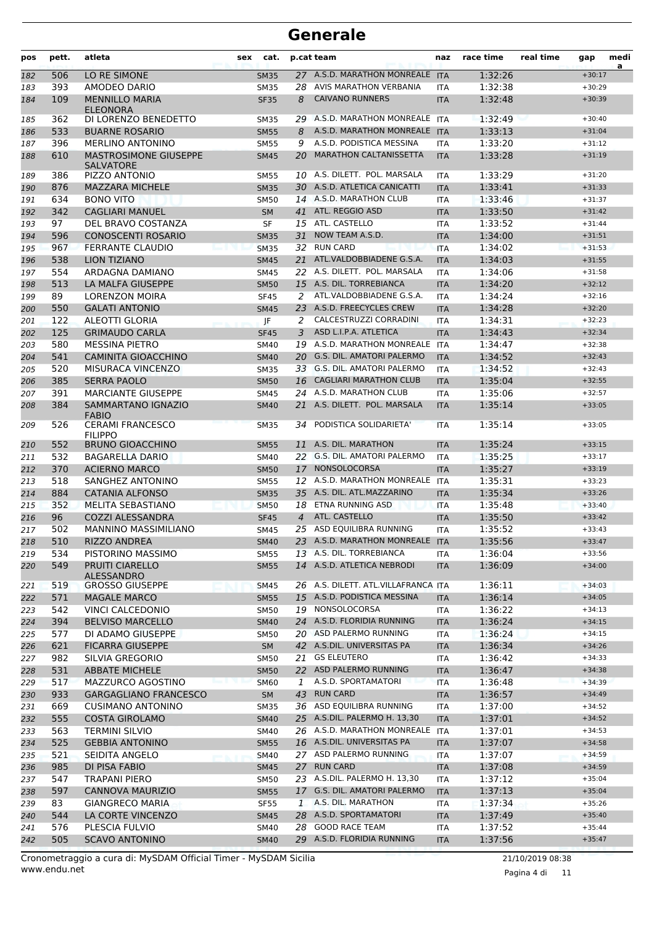| pos        | pett.      | atleta                                                            | sex | cat.                       |                | p.cat team                                                    | naz                      | race time          | real time | gap                  | medi<br>a |
|------------|------------|-------------------------------------------------------------------|-----|----------------------------|----------------|---------------------------------------------------------------|--------------------------|--------------------|-----------|----------------------|-----------|
| 182        | 506        | LO RE SIMONE                                                      |     | <b>SM35</b>                |                | 27 A.S.D. MARATHON MONREALE ITA                               |                          | 1:32:26            |           | $+30:17$             |           |
| 183        | 393        | AMODEO DARIO                                                      |     | <b>SM35</b>                | 28             | AVIS MARATHON VERBANIA                                        | <b>ITA</b>               | 1:32:38            |           | $+30:29$             |           |
| 184        | 109        | <b>MENNILLO MARIA</b><br><b>ELEONORA</b>                          |     | <b>SF35</b>                | 8              | <b>CAIVANO RUNNERS</b>                                        | <b>ITA</b>               | 1:32:48            |           | $+30:39$             |           |
| 185        | 362        | DI LORENZO BENEDETTO                                              |     | <b>SM35</b>                |                | 29 A.S.D. MARATHON MONREALE ITA                               |                          | 1:32:49            |           | $+30:40$             |           |
| 186        | 533        | <b>BUARNE ROSARIO</b>                                             |     | <b>SM55</b>                | 8              | A.S.D. MARATHON MONREALE ITA                                  |                          | 1:33:13            |           | $+31:04$             |           |
| 187        | 396        | <b>MERLINO ANTONINO</b>                                           |     | SM55                       | 9              | A.S.D. PODISTICA MESSINA                                      | <b>ITA</b>               | 1:33:20            |           | $+31:12$             |           |
| 188<br>189 | 610<br>386 | <b>MASTROSIMONE GIUSEPPE</b><br><b>SALVATORE</b><br>PIZZO ANTONIO |     | <b>SM45</b><br><b>SM55</b> | 20             | <b>MARATHON CALTANISSETTA</b><br>10 A.S. DILETT. POL. MARSALA | <b>ITA</b><br><b>ITA</b> | 1:33:28<br>1:33:29 |           | $+31:19$<br>$+31:20$ |           |
| 190        | 876        | <b>MAZZARA MICHELE</b>                                            |     | <b>SM35</b>                |                | 30 A.S.D. ATLETICA CANICATTI                                  | <b>ITA</b>               | 1:33:41            |           | $+31:33$             |           |
| 191        | 634        | <b>BONO VITO</b>                                                  |     | <b>SM50</b>                |                | 14 A.S.D. MARATHON CLUB                                       | <b>ITA</b>               | 1:33:46            |           | $+31:37$             |           |
| 192        | 342        | <b>CAGLIARI MANUEL</b>                                            |     | <b>SM</b>                  |                | 41 ATL. REGGIO ASD                                            | <b>ITA</b>               | 1:33:50            |           | $+31:42$             |           |
| 193        | 97         | DEL BRAVO COSTANZA                                                |     | SF                         |                | 15 ATL. CASTELLO                                              | <b>ITA</b>               | 1:33:52            |           | $+31:44$             |           |
| 194        | 596        | <b>CONOSCENTI ROSARIO</b>                                         |     | <b>SM35</b>                | 31             | NOW TEAM A.S.D.                                               | <b>ITA</b>               | 1:34:00            |           | $+31:51$             |           |
| 195        | 967        | <b>FERRANTE CLAUDIO</b>                                           |     | <b>SM35</b>                | 32             | <b>RUN CARD</b>                                               | <b>ITA</b>               | 1:34:02            |           | $+31:53$             |           |
| 196        | 538        | <b>LION TIZIANO</b>                                               |     | <b>SM45</b>                | 21             | ATL.VALDOBBIADENE G.S.A.                                      | <b>ITA</b>               | 1:34:03            |           | $+31:55$             |           |
| 197        | 554        | ARDAGNA DAMIANO                                                   |     | SM45                       |                | 22 A.S. DILETT. POL. MARSALA                                  | <b>ITA</b>               | 1:34:06            |           | $+31:58$             |           |
| 198        | 513        | LA MALFA GIUSEPPE                                                 |     | <b>SM50</b>                |                | 15 A.S. DIL. TORREBIANCA                                      | <b>ITA</b>               | 1:34:20            |           | $+32:12$             |           |
| 199        | 89         | <b>LORENZON MOIRA</b>                                             |     | <b>SF45</b>                | 2              | ATL.VALDOBBIADENE G.S.A.                                      | <b>ITA</b>               | 1:34:24            |           | $+32:16$             |           |
| 200        | 550        | <b>GALATI ANTONIO</b>                                             |     | <b>SM45</b>                | 23             | A.S.D. FREECYCLES CREW                                        | <b>ITA</b>               | 1:34:28            |           | $+32:20$             |           |
| 201        | 122        | <b>ALEOTTI GLORIA</b>                                             |     | JF                         | 2              | CALCESTRUZZI CORRADINI                                        | <b>ITA</b>               | 1:34:31            |           | $+32:23$             |           |
| 202        | 125        | <b>GRIMAUDO CARLA</b>                                             |     | <b>SF45</b>                | 3              | ASD L.I.P.A. ATLETICA                                         | <b>ITA</b>               | 1:34:43            |           | $+32:34$             |           |
| 203        | 580        | <b>MESSINA PIETRO</b>                                             |     | <b>SM40</b>                |                | 19 A.S.D. MARATHON MONREALE ITA                               |                          | 1:34:47            |           | $+32:38$             |           |
| 204        | 541        | <b>CAMINITA GIOACCHINO</b>                                        |     | <b>SM40</b>                |                | 20 G.S. DIL. AMATORI PALERMO                                  | <b>ITA</b>               | 1:34:52            |           | $+32:43$             |           |
| 205        | 520        | MISURACA VINCENZO                                                 |     | <b>SM35</b>                |                | 33 G.S. DIL. AMATORI PALERMO                                  | ITA                      | 1:34:52            |           | $+32:43$             |           |
| 206        | 385        | <b>SERRA PAOLO</b>                                                |     | <b>SM50</b>                | 16             | <b>CAGLIARI MARATHON CLUB</b>                                 | <b>ITA</b>               | 1:35:04            |           | $+32:55$             |           |
| 207        | 391        | <b>MARCIANTE GIUSEPPE</b>                                         |     | <b>SM45</b>                |                | 24 A.S.D. MARATHON CLUB                                       | <b>ITA</b>               | 1:35:06            |           | $+32:57$             |           |
| 208        | 384        | SAMMARTANO IGNAZIO<br><b>FABIO</b>                                |     | <b>SM40</b>                | 21             | A.S. DILETT. POL. MARSALA                                     | <b>ITA</b>               | 1:35:14            |           | $+33:05$             |           |
| 209        | 526        | <b>CERAMI FRANCESCO</b><br><b>FILIPPO</b>                         |     | SM35                       | 34             | PODISTICA SOLIDARIETA'                                        | <b>ITA</b>               | 1:35:14            |           | $+33:05$             |           |
| 210        | 552        | <b>BRUNO GIOACCHINO</b>                                           |     | <b>SM55</b>                | 11             | A.S. DIL. MARATHON                                            | <b>ITA</b>               | 1:35:24            |           | $+33:15$             |           |
| 211        | 532        | <b>BAGARELLA DARIO</b>                                            |     | SM40                       |                | 22 G.S. DIL. AMATORI PALERMO                                  | <b>ITA</b>               | 1:35:25            |           | $+33:17$             |           |
| 212        | 370        | <b>ACIERNO MARCO</b><br>SANGHEZ ANTONINO                          |     | <b>SM50</b>                | 17             | <b>NONSOLOCORSA</b><br>12 A.S.D. MARATHON MONREALE            | <b>ITA</b>               | 1:35:27            |           | $+33:19$             |           |
| 213        | 518        |                                                                   |     | <b>SM55</b>                |                | 35 A.S. DIL. ATL.MAZZARINO                                    | ITA                      | 1:35:31            |           | $+33:23$             |           |
| 214<br>215 | 884<br>352 | <b>CATANIA ALFONSO</b><br><b>MELITA SEBASTIANO</b>                |     | <b>SM35</b>                | 18             | ETNA RUNNING ASD                                              | <b>ITA</b>               | 1:35:34<br>1:35:48 |           | $+33:26$<br>$+33:40$ |           |
| 216        | 96         | <b>COZZI ALESSANDRA</b>                                           |     | <b>SM50</b><br><b>SF45</b> | $\overline{A}$ | ATL. CASTELLO                                                 | <b>ITA</b><br><b>ITA</b> | 1:35:50            |           | $+33:42$             |           |
| 217        | 502        | <b>MANNINO MASSIMILIANO</b>                                       |     | SM45                       |                | 25 ASD EQUILIBRA RUNNING                                      | <b>ITA</b>               | 1:35:52            |           | $+33:43$             |           |
| 218        | 510        | RIZZO ANDREA                                                      |     | SM40                       |                | 23 A.S.D. MARATHON MONREALE ITA                               |                          | 1:35:56            |           | $+33:47$             |           |
| 219        | 534        | PISTORINO MASSIMO                                                 |     | SM55                       |                | 13 A.S. DIL. TORREBIANCA                                      | ITA                      | 1:36:04            |           | $+33:56$             |           |
| 220        | 549        | <b>PRUITI CIARELLO</b><br><b>ALESSANDRO</b>                       |     | <b>SM55</b>                |                | 14 A.S.D. ATLETICA NEBRODI                                    | <b>ITA</b>               | 1:36:09            |           | $+34:00$             |           |
| 221        | 519        | <b>GROSSO GIUSEPPE</b>                                            |     | <b>SM45</b>                |                | 26 A.S. DILETT. ATL.VILLAFRANCA ITA                           |                          | 1:36:11            |           | $+34:03$             |           |
| 222        | 571        | <b>MAGALE MARCO</b>                                               |     | <b>SM55</b>                |                | 15 A.S.D. PODISTICA MESSINA                                   | <b>ITA</b>               | 1:36:14            |           | $+34:05$             |           |
| 223        | 542        | VINCI CALCEDONIO                                                  |     | SM50                       |                | 19 NONSOLOCORSA                                               | ITA                      | 1:36:22            |           | $+34:13$             |           |
| 224        | 394        | <b>BELVISO MARCELLO</b>                                           |     | <b>SM40</b>                |                | 24 A.S.D. FLORIDIA RUNNING                                    | <b>ITA</b>               | 1:36:24            |           | $+34:15$             |           |
| 225        | 577        | DI ADAMO GIUSEPPE                                                 |     | SM50                       |                | 20 ASD PALERMO RUNNING                                        | <b>ITA</b>               | 1:36:24            |           | $+34:15$             |           |
| 226        | 621        | <b>FICARRA GIUSEPPE</b>                                           |     | SM                         |                | 42 A.S.DIL. UNIVERSITAS PA                                    | <b>ITA</b>               | 1:36:34            |           | $+34:26$             |           |
| 227        | 982        | SILVIA GREGORIO                                                   |     | <b>SM50</b>                | 21             | <b>GS ELEUTERO</b>                                            | ITA                      | 1:36:42            |           | $+34:33$             |           |
| 228        | 531        | <b>ABBATE MICHELE</b>                                             |     | <b>SM50</b>                |                | 22 ASD PALERMO RUNNING                                        | <b>ITA</b>               | 1:36:47            |           | $+34:38$             |           |
| 229        | 517        | MAZZURCO AGOSTINO                                                 |     | <b>SM60</b>                | 1              | A.S.D. SPORTAMATORI                                           | <b>ITA</b>               | 1:36:48            |           | $+34:39$             |           |
| 230        | 933        | <b>GARGAGLIANO FRANCESCO</b>                                      |     | <b>SM</b>                  |                | 43 RUN CARD                                                   | <b>ITA</b>               | 1:36:57            |           | $+34:49$             |           |
| 231        | 669        | <b>CUSIMANO ANTONINO</b>                                          |     | <b>SM35</b>                |                | 36 ASD EQUILIBRA RUNNING                                      | <b>ITA</b>               | 1:37:00            |           | $+34:52$             |           |
| 232        | 555        | <b>COSTA GIROLAMO</b>                                             |     | <b>SM40</b>                |                | 25 A.S.DIL. PALERMO H. 13,30                                  | <b>ITA</b>               | 1:37:01            |           | $+34:52$             |           |
| 233        | 563        | TERMINI SILVIO                                                    |     | SM40                       |                | 26 A.S.D. MARATHON MONREALE ITA<br>16 A.S.DIL. UNIVERSITAS PA |                          | 1:37:01            |           | $+34:53$<br>$+34:58$ |           |
| 234        | 525<br>521 | <b>GEBBIA ANTONINO</b>                                            |     | <b>SM55</b>                |                | 27 ASD PALERMO RUNNING                                        | <b>ITA</b>               | 1:37:07<br>1:37:07 |           | $+34:59$             |           |
| 235        | 985        | SEIDITA ANGELO<br>DI PISA FABIO                                   |     | <b>SM40</b>                |                | 27 RUN CARD                                                   | ITA                      | 1:37:08            |           | $+34:59$             |           |
| 236<br>237 | 547        | TRAPANI PIERO                                                     |     | <b>SM45</b><br><b>SM50</b> |                | 23 A.S.DIL. PALERMO H. 13,30                                  | <b>ITA</b><br><b>ITA</b> | 1:37:12            |           | $+35:04$             |           |
| 238        | 597        | <b>CANNOVA MAURIZIO</b>                                           |     | <b>SM55</b>                |                | 17 G.S. DIL. AMATORI PALERMO                                  | <b>ITA</b>               | 1:37:13            |           | $+35:04$             |           |
| 239        | 83         | <b>GIANGRECO MARIA</b>                                            |     | <b>SF55</b>                | $\mathbf{1}$   | A.S. DIL. MARATHON                                            | ITA                      | 1:37:34            |           | $+35:26$             |           |
| 240        | 544        | LA CORTE VINCENZO                                                 |     | <b>SM45</b>                |                | 28 A.S.D. SPORTAMATORI                                        | <b>ITA</b>               | 1:37:49            |           | $+35:40$             |           |
| 241        | 576        | PLESCIA FULVIO                                                    |     | SM40                       |                | 28 GOOD RACE TEAM                                             | <b>ITA</b>               | 1:37:52            |           | $+35:44$             |           |
| 242        | 505        | <b>SCAVO ANTONINO</b>                                             |     | <b>SM40</b>                |                | 29 A.S.D. FLORIDIA RUNNING                                    | <b>ITA</b>               | 1:37:56            |           | $+35:47$             |           |
|            |            |                                                                   |     |                            |                |                                                               |                          |                    |           |                      |           |

www.endu.net Cronometraggio a cura di: MySDAM Official Timer - MySDAM Sicilia 21/10/2019 08:38

Pagina 4 di 11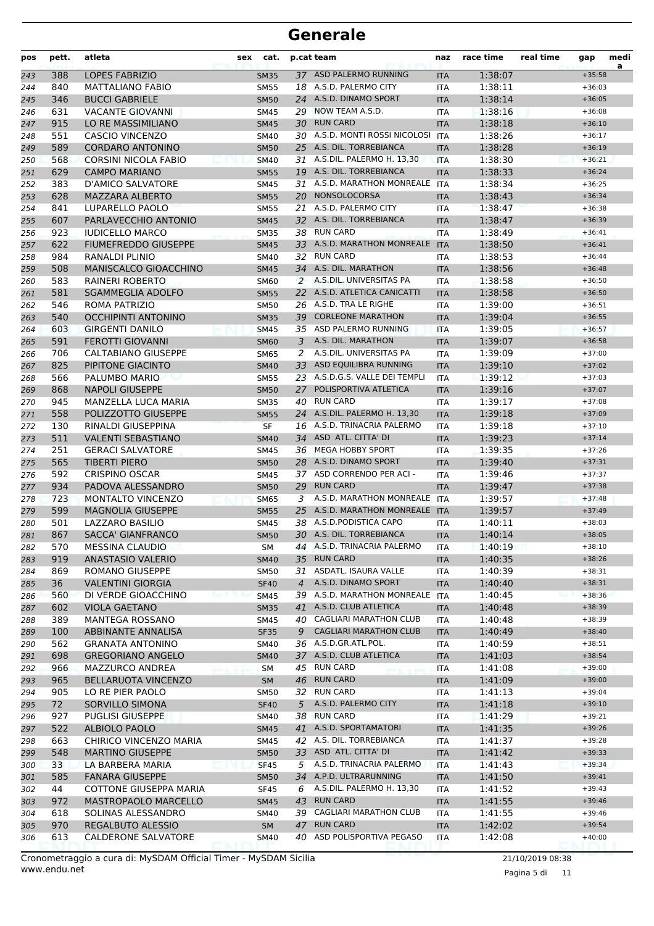| pos        | pett.      | atleta                                             | cat.<br>sex                |                | p.cat team                                               | naz                      | race time          | real time | gap                  | medi<br>a |
|------------|------------|----------------------------------------------------|----------------------------|----------------|----------------------------------------------------------|--------------------------|--------------------|-----------|----------------------|-----------|
| 243        | 388        | <b>LOPES FABRIZIO</b>                              | <b>SM35</b>                |                | 37 ASD PALERMO RUNNING                                   | <b>ITA</b>               | 1:38:07            |           | $+35:58$             |           |
| 244        | 840        | <b>MATTALIANO FABIO</b>                            | <b>SM55</b>                |                | 18 A.S.D. PALERMO CITY                                   | ITA                      | 1:38:11            |           | $+36:03$             |           |
| 245        | 346        | <b>BUCCI GABRIELE</b>                              | <b>SM50</b>                |                | 24 A.S.D. DINAMO SPORT                                   | <b>ITA</b>               | 1:38:14            |           | $+36:05$             |           |
| 246        | 631        | <b>VACANTE GIOVANNI</b>                            | <b>SM45</b>                |                | 29 NOW TEAM A.S.D.                                       | <b>ITA</b>               | 1:38:16            |           | $+36:08$             |           |
| 247        | 915        | LO RE MASSIMILIANO                                 | <b>SM45</b>                |                | 30 RUN CARD                                              | <b>ITA</b>               | 1:38:18            |           | $+36:10$             |           |
| 248        | 551        | <b>CASCIO VINCENZO</b>                             | SM40                       |                | 30 A.S.D. MONTI ROSSI NICOLOSI                           | <b>ITA</b>               | 1:38:26            |           | $+36:17$             |           |
| 249        | 589        | <b>CORDARO ANTONINO</b>                            | <b>SM50</b>                |                | 25 A.S. DIL. TORREBIANCA                                 | <b>ITA</b>               | 1:38:28            |           | $+36:19$             |           |
| 250        | 568        | <b>CORSINI NICOLA FABIO</b>                        | <b>SM40</b>                |                | 31 A.S.DIL. PALERMO H. 13,30<br>19 A.S. DIL. TORREBIANCA | <b>ITA</b>               | 1:38:30            |           | $+36:21$             |           |
| 251        | 629        | <b>CAMPO MARIANO</b>                               | <b>SM55</b>                |                | 31 A.S.D. MARATHON MONREALE                              | <b>ITA</b>               | 1:38:33            |           | $+36:24$             |           |
| 252        | 383<br>628 | <b>D'AMICO SALVATORE</b><br><b>MAZZARA ALBERTO</b> | <b>SM45</b><br><b>SM55</b> |                | 20 NONSOLOCORSA                                          | <b>ITA</b><br><b>ITA</b> | 1:38:34<br>1:38:43 |           | $+36:25$<br>$+36:34$ |           |
| 253<br>254 | 841        | LUPARELLO PAOLO                                    | <b>SM55</b>                |                | 21 A.S.D. PALERMO CITY                                   | <b>ITA</b>               | 1:38:47            |           | $+36:38$             |           |
| 255        | 607        | PARLAVECCHIO ANTONIO                               | <b>SM45</b>                |                | 32 A.S. DIL. TORREBIANCA                                 | <b>ITA</b>               | 1:38:47            |           | $+36:39$             |           |
| 256        | 923        | <b>IUDICELLO MARCO</b>                             | <b>SM35</b>                |                | 38 RUN CARD                                              | ITA                      | 1:38:49            |           | $+36:41$             |           |
| 257        | 622        | <b>FIUMEFREDDO GIUSEPPE</b>                        | <b>SM45</b>                |                | 33 A.S.D. MARATHON MONREALE                              | <b>ITA</b>               | 1:38:50            |           | $+36:41$             |           |
| 258        | 984        | RANALDI PLINIO                                     | <b>SM40</b>                |                | 32 RUN CARD                                              | ITA                      | 1:38:53            |           | $+36:44$             |           |
| 259        | 508        | MANISCALCO GIOACCHINO                              | <b>SM45</b>                |                | 34 A.S. DIL. MARATHON                                    | <b>ITA</b>               | 1:38:56            |           | $+36:48$             |           |
| 260        | 583        | RAINERI ROBERTO                                    | SM60                       |                | 2 A.S.DIL. UNIVERSITAS PA                                | <b>ITA</b>               | 1:38:58            |           | $+36:50$             |           |
| 261        | 581        | <b>SGAMMEGLIA ADOLFO</b>                           | <b>SM55</b>                |                | 22 A.S.D. ATLETICA CANICATTI                             | <b>ITA</b>               | 1:38:58            |           | $+36:50$             |           |
| 262        | 546        | ROMA PATRIZIO                                      | <b>SM50</b>                |                | 26 A.S.D. TRA LE RIGHE                                   | <b>ITA</b>               | 1:39:00            |           | $+36:51$             |           |
| 263        | 540        | <b>OCCHIPINTI ANTONINO</b>                         | <b>SM35</b>                |                | 39 CORLEONE MARATHON                                     | <b>ITA</b>               | 1:39:04            |           | $+36:55$             |           |
| 264        | 603        | <b>GIRGENTI DANILO</b>                             | <b>SM45</b>                |                | 35 ASD PALERMO RUNNING                                   | <b>ITA</b>               | 1:39:05            |           | $+36:57$             |           |
| 265        | 591        | <b>FEROTTI GIOVANNI</b>                            | <b>SM60</b>                | 3              | A.S. DIL. MARATHON                                       | <b>ITA</b>               | 1:39:07            |           | $+36:58$             |           |
| 266        | 706        | <b>CALTABIANO GIUSEPPE</b>                         | <b>SM65</b>                | 2              | A.S.DIL. UNIVERSITAS PA                                  | <b>ITA</b>               | 1:39:09            |           | $+37:00$             |           |
| 267        | 825        | PIPITONE GIACINTO                                  | <b>SM40</b>                | 33             | ASD EQUILIBRA RUNNING                                    | <b>ITA</b>               | 1:39:10            |           | $+37:02$             |           |
| 268        | 566        | PALUMBO MARIO                                      | <b>SM55</b>                |                | 23 A.S.D.G.S. VALLE DEI TEMPLI                           | ITA                      | 1:39:12            |           | $+37:03$             |           |
| 269        | 868        | <b>NAPOLI GIUSEPPE</b>                             | <b>SM50</b>                |                | 27 POLISPORTIVA ATLETICA                                 | <b>ITA</b>               | 1:39:16            |           | $+37:07$             |           |
| 270        | 945        | MANZELLA LUCA MARIA                                | <b>SM35</b>                | 40             | RUN CARD                                                 | <b>ITA</b>               | 1:39:17            |           | $+37:08$             |           |
| 271        | 558        | POLIZZOTTO GIUSEPPE                                | <b>SM55</b>                |                | 24 A.S.DIL. PALERMO H. 13,30                             | <b>ITA</b>               | 1:39:18            |           | $+37:09$             |           |
| 272        | 130        | RINALDI GIUSEPPINA                                 | <b>SF</b>                  |                | 16 A.S.D. TRINACRIA PALERMO                              | <b>ITA</b>               | 1:39:18            |           | $+37:10$             |           |
| 273        | 511        | <b>VALENTI SEBASTIANO</b>                          | <b>SM40</b>                |                | 34 ASD ATL. CITTA' DI<br>36 MEGA HOBBY SPORT             | <b>ITA</b>               | 1:39:23            |           | $+37:14$             |           |
| 274        | 251<br>565 | <b>GERACI SALVATORE</b><br><b>TIBERTI PIERO</b>    | <b>SM45</b>                |                | 28 A.S.D. DINAMO SPORT                                   | <b>ITA</b>               | 1:39:35<br>1:39:40 |           | $+37:26$<br>$+37:31$ |           |
| 275<br>276 | 592        | <b>CRISPINO OSCAR</b>                              | <b>SM50</b><br><b>SM45</b> |                | 37 ASD CORRENDO PER ACI -                                | <b>ITA</b><br><b>ITA</b> | 1:39:46            |           | $+37:37$             |           |
| 277        | 934        | PADOVA ALESSANDRO                                  | <b>SM50</b>                | 29             | <b>RUN CARD</b>                                          | <b>ITA</b>               | 1:39:47            |           | $+37:38$             |           |
| 278        | 723        | <b>MONTALTO VINCENZO</b>                           | <b>SM65</b>                | 3              | A.S.D. MARATHON MONREALE                                 | <b>ITA</b>               | 1:39:57            |           | $+37:48$             |           |
| 279        | 599        | <b>MAGNOLIA GIUSEPPE</b>                           | <b>SM55</b>                |                | 25 A.S.D. MARATHON MONREALE                              | <b>ITA</b>               | 1:39:57            |           | $+37:49$             |           |
| 280        | 501        | LAZZARO BASILIO                                    | SM45                       |                | 38 A.S.D.PODISTICA CAPO                                  | ITA                      | 1:40:11            |           | $+38:03$             |           |
| 281        | 867        | <b>SACCA' GIANFRANCO</b>                           | <b>SM50</b>                |                | 30 A.S. DIL. TORREBIANCA                                 | <b>ITA</b>               | 1:40:14            |           | $+38:05$             |           |
| 282        | 570        | <b>MESSINA CLAUDIO</b>                             | SM                         |                | 44 A.S.D. TRINACRIA PALERMO                              | <b>ITA</b>               | 1:40:19            |           | $+38:10$             |           |
| 283        | 919        | <b>ANASTASIO VALERIO</b>                           | <b>SM40</b>                |                | 35 RUN CARD                                              | <b>ITA</b>               | 1:40:35            |           | $+38:26$             |           |
| 284        | 869        | ROMANO GIUSEPPE                                    | SM50                       | 31             | ASDATL. ISAURA VALLE                                     | <b>ITA</b>               | 1:40:39            |           | $+38:31$             |           |
| 285        | 36         | <b>VALENTINI GIORGIA</b>                           | <b>SF40</b>                | $\overline{4}$ | A.S.D. DINAMO SPORT                                      | <b>ITA</b>               | 1:40:40            |           | $+38:31$             |           |
| 286        | 560        | DI VERDE GIOACCHINO                                | <b>SM45</b>                |                | 39 A.S.D. MARATHON MONREALE                              | <b>ITA</b>               | 1:40:45            |           | $+38:36$             |           |
| 287        | 602        | <b>VIOLA GAETANO</b>                               | <b>SM35</b>                |                | 41 A.S.D. CLUB ATLETICA                                  | <b>ITA</b>               | 1:40:48            |           | $+38:39$             |           |
| 288        | 389        | MANTEGA ROSSANO                                    | SM45                       |                | 40 CAGLIARI MARATHON CLUB                                | ITA                      | 1:40:48            |           | $+38:39$             |           |
| 289        | 100        | ABBINANTE ANNALISA                                 | <b>SF35</b>                | 9              | <b>CAGLIARI MARATHON CLUB</b>                            | <b>ITA</b>               | 1:40:49            |           | $+38:40$             |           |
| 290        | 562        | <b>GRANATA ANTONINO</b>                            | SM40                       |                | 36 A.S.D.GR.ATL.POL.                                     | ITA                      | 1:40:59            |           | $+38:51$             |           |
| 291        | 698        | <b>GREGORIANO ANGELO</b>                           | <b>SM40</b>                |                | 37 A.S.D. CLUB ATLETICA                                  | <b>ITA</b>               | 1:41:03            |           | $+38:54$             |           |
| 292        | 966        | MAZZURCO ANDREA                                    | SM                         |                | 45 RUN CARD                                              | ITA                      | 1:41:08            |           | $+39:00$             |           |
| 293        | 965        | <b>BELLARUOTA VINCENZO</b>                         | <b>SM</b>                  |                | 46 RUN CARD<br>32 RUN CARD                               | <b>ITA</b>               | 1:41:09            |           | $+39:00$             |           |
| 294        | 905<br>72  | LO RE PIER PAOLO<br>SORVILLO SIMONA                | <b>SM50</b>                |                | A.S.D. PALERMO CITY                                      | ITA                      | 1:41:13            |           | $+39:04$<br>$+39:10$ |           |
| 295        | 927        | <b>PUGLISI GIUSEPPE</b>                            | <b>SF40</b><br>SM40        | 5              | 38 RUN CARD                                              | <b>ITA</b>               | 1:41:18<br>1:41:29 |           | $+39:21$             |           |
| 296<br>297 | 522        | ALBIOLO PAOLO                                      | <b>SM45</b>                |                | 41 A.S.D. SPORTAMATORI                                   | <b>ITA</b><br><b>ITA</b> | 1:41:35            |           | $+39:26$             |           |
| 298        | 663        | CHIRICO VINCENZO MARIA                             | SM45                       |                | 42 A.S. DIL. TORREBIANCA                                 | <b>ITA</b>               | 1:41:37            |           | $+39:28$             |           |
| 299        | 548        | <b>MARTINO GIUSEPPE</b>                            | <b>SM50</b>                |                | 33 ASD ATL. CITTA' DI                                    | <b>ITA</b>               | 1:41:42            |           | $+39:33$             |           |
| 300        | 33         | LA BARBERA MARIA                                   | <b>SF45</b>                | 5              | A.S.D. TRINACRIA PALERMO                                 | <b>ITA</b>               | 1:41:43            |           | $+39:34$             |           |
| 301        | 585        | <b>FANARA GIUSEPPE</b>                             | <b>SM50</b>                |                | 34 A.P.D. ULTRARUNNING                                   | <b>ITA</b>               | 1:41:50            |           | $+39:41$             |           |
| 302        | 44         | COTTONE GIUSEPPA MARIA                             | <b>SF45</b>                | 6              | A.S.DIL. PALERMO H. 13,30                                | <b>ITA</b>               | 1:41:52            |           | $+39:43$             |           |
| 303        | 972        | <b>MASTROPAOLO MARCELLO</b>                        | <b>SM45</b>                | 43             | <b>RUN CARD</b>                                          | <b>ITA</b>               | 1:41:55            |           | $+39:46$             |           |
| 304        | 618        | SOLINAS ALESSANDRO                                 | SM40                       |                | 39 CAGLIARI MARATHON CLUB                                | <b>ITA</b>               | 1:41:55            |           | $+39:46$             |           |
| 305        | 970        | <b>REGALBUTO ALESSIO</b>                           | <b>SM</b>                  |                | 47 RUN CARD                                              | <b>ITA</b>               | 1:42:02            |           | $+39:54$             |           |
| 306        | 613        | <b>CALDERONE SALVATORE</b>                         | SM40                       |                | 40 ASD POLISPORTIVA PEGASO                               | ITA                      | 1:42:08            |           | $+40:00$             |           |

Pagina 5 di 11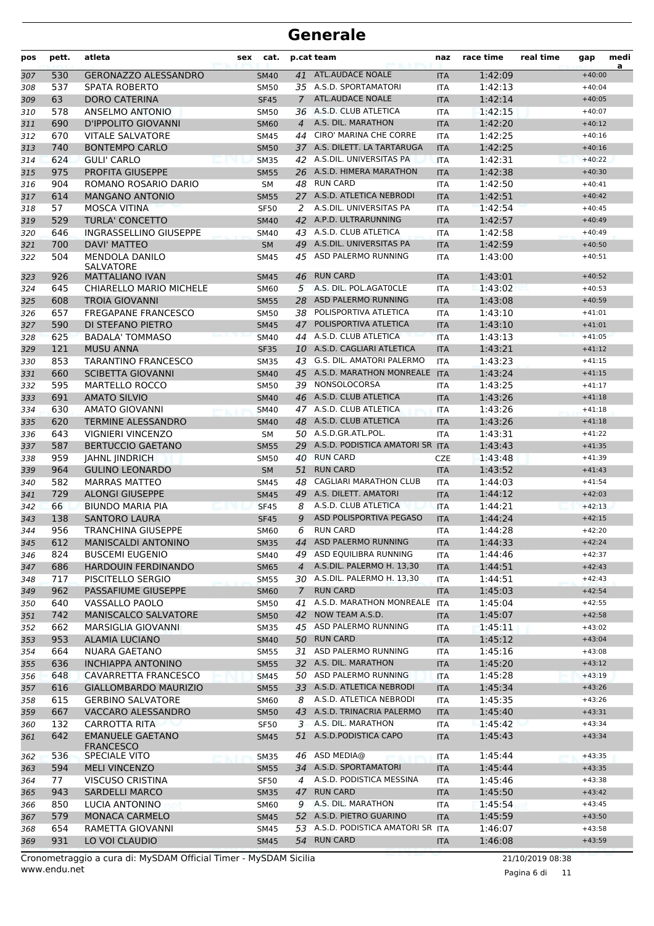| pos        | pett.      | atleta                                            | sex | cat.                       |                | p.cat team                                               | naz                      | race time          | real time | gap                  | medi<br>a |
|------------|------------|---------------------------------------------------|-----|----------------------------|----------------|----------------------------------------------------------|--------------------------|--------------------|-----------|----------------------|-----------|
| 307        | 530        | <b>GERONAZZO ALESSANDRO</b>                       |     | <b>SM40</b>                | 41             | <b>ATL.AUDACE NOALE</b>                                  | <b>ITA</b>               | 1:42:09            |           | $+40:00$             |           |
| 308        | 537        | <b>SPATA ROBERTO</b>                              |     | <b>SM50</b>                |                | 35 A.S.D. SPORTAMATORI                                   | <b>ITA</b>               | 1:42:13            |           | $+40:04$             |           |
| 309        | 63         | <b>DORO CATERINA</b>                              |     | <b>SF45</b>                | $\overline{7}$ | <b>ATL.AUDACE NOALE</b>                                  | <b>ITA</b>               | 1:42:14            |           | $+40:05$             |           |
| 310        | 578        | ANSELMO ANTONIO                                   |     | SM50                       |                | 36 A.S.D. CLUB ATLETICA                                  | <b>ITA</b>               | 1:42:15            |           | $+40:07$             |           |
| 311        | 690        | D'IPPOLITO GIOVANNI                               |     | <b>SM60</b>                | 4              | A.S. DIL. MARATHON                                       | <b>ITA</b>               | 1:42:20            |           | $+40:12$             |           |
| 312        | 670        | <b>VITALE SALVATORE</b>                           |     | <b>SM45</b>                | 44             | <b>CIRO' MARINA CHE CORRE</b>                            | <b>ITA</b>               | 1:42:25            |           | $+40:16$             |           |
| 313        | 740        | <b>BONTEMPO CARLO</b>                             |     | <b>SM50</b>                | 37             | A.S. DILETT. LA TARTARUGA                                | <b>ITA</b>               | 1:42:25            |           | $+40:16$             |           |
| 314        | 624        | <b>GULI' CARLO</b>                                |     | <b>SM35</b>                |                | 42 A.S.DIL. UNIVERSITAS PA                               | <b>ITA</b>               | 1:42:31            |           | $+40:22$             |           |
| 315        | 975        | PROFITA GIUSEPPE                                  |     | <b>SM55</b>                |                | 26 A.S.D. HIMERA MARATHON                                | <b>ITA</b>               | 1:42:38            |           | $+40:30$             |           |
| 316        | 904        | ROMANO ROSARIO DARIO                              |     | <b>SM</b>                  | 48             | <b>RUN CARD</b>                                          | <b>ITA</b>               | 1:42:50            |           | $+40:41$             |           |
| 317        | 614        | <b>MANGANO ANTONIO</b>                            |     | <b>SM55</b>                | 27             | A.S.D. ATLETICA NEBRODI                                  | <b>ITA</b>               | 1:42:51            |           | $+40:42$             |           |
| 318        | 57         | <b>MOSCA VITINA</b>                               |     | <b>SF50</b>                | 2              | A.S.DIL. UNIVERSITAS PA                                  | <b>ITA</b>               | 1:42:54            |           | $+40:45$             |           |
| 319        | 529        | <b>TURLA' CONCETTO</b>                            |     | <b>SM40</b>                |                | 42 A.P.D. ULTRARUNNING                                   | <b>ITA</b>               | 1:42:57            |           | $+40:49$             |           |
| 320        | 646        | <b>INGRASSELLINO GIUSEPPE</b>                     |     | <b>SM40</b>                |                | 43 A.S.D. CLUB ATLETICA                                  | <b>ITA</b>               | 1:42:58            |           | $+40:49$             |           |
| 321        | 700        | <b>DAVI' MATTEO</b>                               |     | <b>SM</b>                  |                | 49 A.S.DIL. UNIVERSITAS PA                               | <b>ITA</b>               | 1:42:59            |           | $+40:50$             |           |
| 322        | 504        | <b>MENDOLA DANILO</b>                             |     | SM45                       | 45             | ASD PALERMO RUNNING                                      | <b>ITA</b>               | 1:43:00            |           | $+40:51$             |           |
|            |            | <b>SALVATORE</b>                                  |     |                            |                |                                                          |                          |                    |           |                      |           |
| 323        | 926        | <b>MATTALIANO IVAN</b>                            |     | <b>SM45</b>                | 46             | <b>RUN CARD</b>                                          | <b>ITA</b>               | 1:43:01            |           | $+40:52$             |           |
| 324        | 645        | CHIARELLO MARIO MICHELE                           |     | SM60                       | 5              | A.S. DIL. POL.AGATOCLE                                   | <b>ITA</b>               | 1:43:02            |           | $+40:53$             |           |
| 325        | 608        | <b>TROIA GIOVANNI</b>                             |     | <b>SM55</b>                | 28             | ASD PALERMO RUNNING                                      | <b>ITA</b>               | 1:43:08            |           | $+40:59$             |           |
| 326        | 657        | <b>FREGAPANE FRANCESCO</b>                        |     | SM50                       | 38             | POLISPORTIVA ATLETICA                                    | <b>ITA</b>               | 1:43:10            |           | $+41:01$             |           |
| 327        | 590        | DI STEFANO PIETRO                                 |     | <b>SM45</b>                | 47             | POLISPORTIVA ATLETICA                                    | <b>ITA</b>               | 1:43:10            |           | $+41:01$             |           |
| 328        | 625        | <b>BADALA' TOMMASO</b>                            |     | <b>SM40</b>                |                | 44 A.S.D. CLUB ATLETICA                                  | <b>ITA</b>               | 1:43:13            |           | $+41:05$             |           |
| 329        | 121        | <b>MUSU ANNA</b>                                  |     | <b>SF35</b>                |                | 10 A.S.D. CAGLIARI ATLETICA                              | <b>ITA</b>               | 1:43:21            |           | $+41:12$             |           |
| 330        | 853        | TARANTINO FRANCESCO                               |     | <b>SM35</b>                |                | 43 G.S. DIL. AMATORI PALERMO                             | <b>ITA</b>               | 1:43:23            |           | $+41:15$             |           |
| 331        | 660        | <b>SCIBETTA GIOVANNI</b>                          |     | <b>SM40</b>                |                | 45 A.S.D. MARATHON MONREALE                              | <b>ITA</b>               | 1:43:24            |           | $+41:15$             |           |
| 332        | 595        | <b>MARTELLO ROCCO</b>                             |     | SM50                       |                | 39 NONSOLOCORSA                                          | <b>ITA</b>               | 1:43:25            |           | $+41:17$             |           |
| 333        | 691        | <b>AMATO SILVIO</b>                               |     | <b>SM40</b>                |                | 46 A.S.D. CLUB ATLETICA                                  | <b>ITA</b>               | 1:43:26            |           | $+41:18$             |           |
| 334        | 630        | AMATO GIOVANNI                                    |     | <b>SM40</b>                |                | 47 A.S.D. CLUB ATLETICA                                  | <b>ITA</b>               | 1:43:26            |           | $+41:18$             |           |
| 335        | 620        | <b>TERMINE ALESSANDRO</b>                         |     | <b>SM40</b>                |                | 48 A.S.D. CLUB ATLETICA                                  | <b>ITA</b>               | 1:43:26            |           | $+41:18$             |           |
| 336        | 643        | <b>VIGNIERI VINCENZO</b>                          |     | <b>SM</b>                  |                | 50 A.S.D.GR.ATL.POL.                                     | <b>ITA</b>               | 1:43:31            |           | $+41:22$             |           |
| 337        | 587        | <b>BERTUCCIO GAETANO</b>                          |     | <b>SM55</b>                |                | 29 A.S.D. PODISTICA AMATORI SR ITA<br><b>RUN CARD</b>    |                          | 1:43:43            |           | $+41:35$             |           |
| 338        | 959        | <b>JAHNL JINDRICH</b>                             |     | <b>SM50</b>                | 40             |                                                          | <b>CZE</b>               | 1:43:48            |           | $+41:39$             |           |
| 339        | 964        | <b>GULINO LEONARDO</b>                            |     | <b>SM</b>                  | 51             | <b>RUN CARD</b>                                          | <b>ITA</b>               | 1:43:52            |           | $+41:43$             |           |
| 340        | 582        | <b>MARRAS MATTEO</b>                              |     | SM45                       | 48             | <b>CAGLIARI MARATHON CLUB</b><br>49 A.S. DILETT. AMATORI | <b>ITA</b>               | 1:44:03            |           | $+41:54$             |           |
| 341        | 729        | <b>ALONGI GIUSEPPE</b>                            |     | <b>SM45</b>                |                |                                                          | <b>ITA</b>               | 1:44:12            |           | $+42:03$             |           |
| 342        | 66         | <b>BIUNDO MARIA PIA</b>                           |     | <b>SF45</b>                | 8              | A.S.D. CLUB ATLETICA<br>ASD POLISPORTIVA PEGASO          | <b>ITA</b>               | 1:44:21            |           | $+42:13$             |           |
| 343        | 138        | <b>SANTORO LAURA</b><br><b>TRANCHINA GIUSEPPE</b> |     | <b>SF45</b>                | 9<br>6         | <b>RUN CARD</b>                                          | <b>ITA</b>               | 1:44:24            |           | $+42:15$<br>$+42:20$ |           |
| 344        | 956        |                                                   |     | <b>SM60</b>                |                | 44 ASD PALERMO RUNNING                                   | <b>ITA</b>               | 1:44:28            |           | $+42:24$             |           |
| 345        | 612        | MANISCALDI ANTONINO                               |     | SM35                       |                | 49 ASD EQUILIBRA RUNNING                                 | <b>ITA</b>               | 1:44:33            |           | $+42:37$             |           |
| 346        | 824<br>686 | <b>BUSCEMI EUGENIO</b><br>HARDOUIN FERDINANDO     |     | SM40                       | $\overline{4}$ | A.S.DIL. PALERMO H. 13,30                                | ITA                      | 1:44:46<br>1:44:51 |           | $+42:43$             |           |
| 347        | 717        |                                                   |     | <b>SM65</b>                |                | 30 A.S.DIL. PALERMO H. 13,30                             | <b>ITA</b>               |                    |           | $+42:43$             |           |
| 348        | 962        | PISCITELLO SERGIO<br>PASSAFIUME GIUSEPPE          |     | <b>SM55</b><br><b>SM60</b> | $7^{\circ}$    | <b>RUN CARD</b>                                          | <b>ITA</b><br><b>ITA</b> | 1:44:51<br>1:45:03 |           | $+42:54$             |           |
| 349        | 640        | VASSALLO PAOLO                                    |     | SM50                       |                | 41 A.S.D. MARATHON MONREALE ITA                          |                          | 1:45:04            |           | $+42:55$             |           |
| 350<br>351 | 742        | <b>MANISCALCO SALVATORE</b>                       |     | <b>SM50</b>                |                | 42 NOW TEAM A.S.D.                                       | <b>ITA</b>               | 1:45:07            |           | $+42:58$             |           |
| 352        | 662        | <b>MARSIGLIA GIOVANNI</b>                         |     | <b>SM35</b>                |                | 45 ASD PALERMO RUNNING                                   | <b>ITA</b>               | 1:45:11            |           | $+43:02$             |           |
| 353        | 953        | <b>ALAMIA LUCIANO</b>                             |     | <b>SM40</b>                |                | 50 RUN CARD                                              | <b>ITA</b>               | 1:45:12            |           | $+43:04$             |           |
| 354        | 664        | NUARA GAETANO                                     |     | SM55                       | 31             | ASD PALERMO RUNNING                                      | ITA                      | 1:45:16            |           | $+43:08$             |           |
| 355        | 636        | <b>INCHIAPPA ANTONINO</b>                         |     | <b>SM55</b>                |                | 32 A.S. DIL. MARATHON                                    | <b>ITA</b>               | 1:45:20            |           | $+43:12$             |           |
|            | 648        | CAVARRETTA FRANCESCO                              |     | <b>SM45</b>                |                | 50 ASD PALERMO RUNNING                                   | ITA                      | 1:45:28            |           | $+43:19$             |           |
| 356        | 616        | GIALLOMBARDO MAURIZIO                             |     |                            |                | 33 A.S.D. ATLETICA NEBRODI                               |                          | 1:45:34            |           | $+43:26$             |           |
| 357        | 615        | <b>GERBINO SALVATORE</b>                          |     | <b>SM55</b>                | 8              | A.S.D. ATLETICA NEBRODI                                  | <b>ITA</b>               | 1:45:35            |           | $+43:26$             |           |
| 358        | 667        | VACCARO ALESSANDRO                                |     | SM60                       |                | 43 A.S.D. TRINACRIA PALERMO                              | <b>ITA</b>               |                    |           | $+43:31$             |           |
| 359        | 132        | CARROTTA RITA                                     |     | <b>SM50</b>                |                | 3 A.S. DIL. MARATHON                                     | <b>ITA</b>               | 1:45:40<br>1:45:42 |           | $+43:34$             |           |
| 360        | 642        | <b>EMANUELE GAETANO</b>                           |     | SF50                       | 51             | A.S.D. PODISTICA CAPO                                    | ITA                      |                    |           | $+43:34$             |           |
| 361        |            | <b>FRANCESCO</b>                                  |     | <b>SM45</b>                |                |                                                          | <b>ITA</b>               | 1:45:43            |           |                      |           |
| 362        | 536        | SPECIALE VITO                                     |     | <b>SM35</b>                |                | 46 ASD MEDIA@                                            | <b>ITA</b>               | 1:45:44            |           | $+43:35$             |           |
| 363        | 594        | <b>MELI VINCENZO</b>                              |     | <b>SM55</b>                |                | 34 A.S.D. SPORTAMATORI                                   | <b>ITA</b>               | 1:45:44            |           | $+43:35$             |           |
| 364        | 77         | VISCUSO CRISTINA                                  |     | <b>SF50</b>                | 4              | A.S.D. PODISTICA MESSINA                                 | <b>ITA</b>               | 1:45:46            |           | $+43:38$             |           |
| 365        | 943        | <b>SARDELLI MARCO</b>                             |     | <b>SM35</b>                |                | 47 RUN CARD                                              | <b>ITA</b>               | 1:45:50            |           | $+43:42$             |           |
| 366        | 850        | LUCIA ANTONINO                                    |     | <b>SM60</b>                | 9              | A.S. DIL. MARATHON                                       | ITA                      | 1:45:54            |           | $+43:45$             |           |
| 367        | 579        | MONACA CARMELO                                    |     | <b>SM45</b>                |                | 52 A.S.D. PIETRO GUARINO                                 | <b>ITA</b>               | 1:45:59            |           | $+43:50$             |           |
| 368        | 654        | RAMETTA GIOVANNI                                  |     | SM45                       |                | 53 A.S.D. PODISTICA AMATORI SR ITA                       |                          | 1:46:07            |           | $+43:58$             |           |
| 369        | 931        | LO VOI CLAUDIO                                    |     | <b>SM45</b>                |                | 54 RUN CARD                                              | <b>ITA</b>               | 1:46:08            |           | $+43:59$             |           |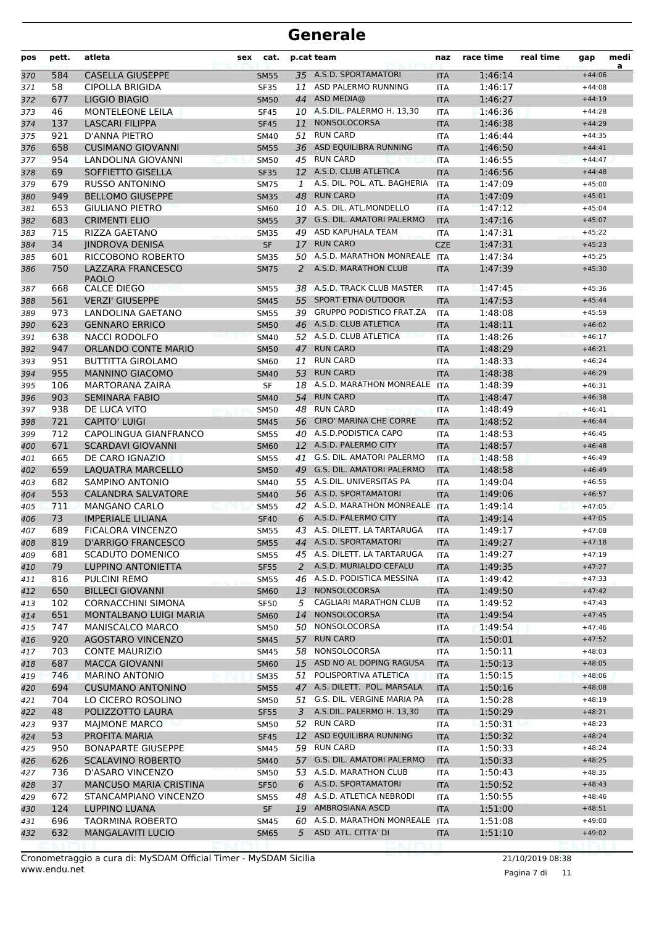| pos        | pett.      | atleta                                               | sex | cat.                       |    | p.cat team                                         | naz                      | race time          | real time | gap                  | medi<br>a |
|------------|------------|------------------------------------------------------|-----|----------------------------|----|----------------------------------------------------|--------------------------|--------------------|-----------|----------------------|-----------|
| 370        | 584        | <b>CASELLA GIUSEPPE</b>                              |     | <b>SM55</b>                |    | 35 A.S.D. SPORTAMATORI                             | <b>ITA</b>               | 1:46:14            |           | $+44:06$             |           |
| 371        | 58         | <b>CIPOLLA BRIGIDA</b>                               |     | <b>SF35</b>                | 11 | ASD PALERMO RUNNING                                | <b>ITA</b>               | 1:46:17            |           | $+44:08$             |           |
| 372        | 677        | LIGGIO BIAGIO                                        |     | <b>SM50</b>                |    | 44 ASD MEDIA@                                      | <b>ITA</b>               | 1:46:27            |           | $+44:19$             |           |
| 373        | 46         | <b>MONTELEONE LEILA</b>                              |     | <b>SF45</b>                |    | 10 A.S.DIL. PALERMO H. 13,30                       | <b>ITA</b>               | 1:46:36            |           | $+44:28$             |           |
| 374        | 137        | <b>LASCARI FILIPPA</b>                               |     | <b>SF45</b>                | 11 | NONSOLOCORSA                                       | <b>ITA</b>               | 1:46:38            |           | $+44:29$             |           |
| 375        | 921        | D'ANNA PIETRO                                        |     | <b>SM40</b>                | 51 | <b>RUN CARD</b>                                    | <b>ITA</b>               | 1:46:44            |           | $+44:35$             |           |
| 376        | 658        | <b>CUSIMANO GIOVANNI</b>                             |     | <b>SM55</b>                |    | 36 ASD EQUILIBRA RUNNING                           | <b>ITA</b>               | 1:46:50            |           | $+44:41$             |           |
| 377        | 954        | LANDOLINA GIOVANNI                                   |     | <b>SM50</b>                |    | 45 RUN CARD                                        | <b>ITA</b>               | 1:46:55            |           | $+44:47$             |           |
| 378        | 69         | SOFFIETTO GISELLA                                    |     | <b>SF35</b>                |    | 12 A.S.D. CLUB ATLETICA                            | <b>ITA</b>               | 1:46:56            |           | $+44:48$             |           |
| 379        | 679        | <b>RUSSO ANTONINO</b>                                |     | <b>SM75</b>                | 1  | A.S. DIL. POL. ATL. BAGHERIA                       | <b>ITA</b>               | 1:47:09            |           | $+45:00$             |           |
| 380        | 949        | <b>BELLOMO GIUSEPPE</b>                              |     | <b>SM35</b>                |    | 48 RUN CARD                                        | <b>ITA</b>               | 1:47:09            |           | $+45:01$             |           |
| 381        | 653        | <b>GIULIANO PIETRO</b>                               |     | <b>SM60</b>                |    | 10 A.S. DIL. ATL.MONDELLO                          | <b>ITA</b>               | 1:47:12            |           | $+45:04$             |           |
| 382        | 683        | <b>CRIMENTI ELIO</b>                                 |     | <b>SM55</b>                |    | 37 G.S. DIL. AMATORI PALERMO                       | <b>ITA</b>               | 1:47:16            |           | $+45:07$             |           |
| 383        | 715        | RIZZA GAETANO                                        |     | <b>SM35</b>                |    | 49 ASD KAPUHALA TEAM                               | ITA                      | 1:47:31            |           | $+45:22$             |           |
| 384        | 34         | <b>JINDROVA DENISA</b>                               |     | <b>SF</b>                  | 17 | <b>RUN CARD</b><br>50 A.S.D. MARATHON MONREALE     | <b>CZE</b>               | 1:47:31            |           | $+45:23$             |           |
| 385        | 601        | RICCOBONO ROBERTO                                    |     | <b>SM35</b>                |    |                                                    | <b>ITA</b>               | 1:47:34            |           | $+45:25$             |           |
| 386        | 750        | LAZZARA FRANCESCO<br><b>PAOLO</b>                    |     | <b>SM75</b>                | 2  | A.S.D. MARATHON CLUB                               | <b>ITA</b>               | 1:47:39            |           | $+45:30$             |           |
| 387        | 668        | CALCE DIEGO<br>and                                   |     | <b>SM55</b>                |    | 38 A.S.D. TRACK CLUB MASTER                        | <b>ITA</b>               | 1:47:45            |           | $+45:36$             |           |
| 388        | 561        | <b>VERZI' GIUSEPPE</b>                               |     | <b>SM45</b>                |    | 55 SPORT ETNA OUTDOOR                              | <b>ITA</b>               | 1:47:53            |           | $+45:44$             |           |
| 389        | 973        | LANDOLINA GAETANO                                    |     | <b>SM55</b>                |    | 39 GRUPPO PODISTICO FRAT.ZA                        | <b>ITA</b>               | 1:48:08            |           | $+45:59$             |           |
| 390        | 623        | <b>GENNARO ERRICO</b>                                |     | <b>SM50</b>                |    | 46 A.S.D. CLUB ATLETICA                            | <b>ITA</b>               | 1:48:11            |           | $+46:02$             |           |
| 391        | 638        | <b>NACCI RODOLFO</b>                                 |     | <b>SM40</b>                |    | 52 A.S.D. CLUB ATLETICA                            | <b>ITA</b>               | 1:48:26            |           | $+46:17$             |           |
| 392        | 947        | <b>ORLANDO CONTE MARIO</b>                           |     | <b>SM50</b>                |    | 47 RUN CARD                                        | <b>ITA</b>               | 1:48:29            |           | $+46:21$             |           |
| 393        | 951        | <b>BUTTITTA GIROLAMO</b>                             |     | SM60                       | 11 | <b>RUN CARD</b>                                    | ITA                      | 1:48:33            |           | $+46:24$             |           |
| 394        | 955        | <b>MANNINO GIACOMO</b>                               |     | <b>SM40</b>                | 53 | <b>RUN CARD</b>                                    | <b>ITA</b>               | 1:48:38            |           | $+46:29$             |           |
| 395        | 106        | MARTORANA ZAIRA                                      |     | <b>SF</b>                  |    | 18 A.S.D. MARATHON MONREALE                        | ITA                      | 1:48:39            |           | $+46:31$             |           |
| 396        | 903        | <b>SEMINARA FABIO</b>                                |     | <b>SM40</b>                |    | 54 RUN CARD                                        | <b>ITA</b>               | 1:48:47            |           | $+46:38$             |           |
| 397        | 938        | DE LUCA VITO                                         |     | <b>SM50</b>                | 48 | <b>RUN CARD</b>                                    | <b>ITA</b>               | 1:48:49            |           | $+46:41$             |           |
| 398        | 721        | <b>CAPITO' LUIGI</b>                                 |     | <b>SM45</b>                | 56 | <b>CIRO' MARINA CHE CORRE</b>                      | <b>ITA</b>               | 1:48:52            |           | $+46:44$             |           |
| 399        | 712        | CAPOLINGUA GIANFRANCO                                |     | <b>SM55</b>                |    | 40 A.S.D. PODISTICA CAPO                           | <b>ITA</b>               | 1:48:53            |           | $+46:45$             |           |
| 400        | 671        | <b>SCARDAVI GIOVANNI</b>                             |     | <b>SM60</b>                |    | 12 A.S.D. PALERMO CITY                             | <b>ITA</b>               | 1:48:57            |           | $+46:48$             |           |
| 401        | 665        | DE CARO IGNAZIO                                      |     | <b>SM55</b>                |    | 41 G.S. DIL. AMATORI PALERMO                       | <b>ITA</b>               | 1:48:58            |           | $+46:49$             |           |
| 402        | 659        | <b>LAQUATRA MARCELLO</b>                             |     | <b>SM50</b>                |    | 49 G.S. DIL. AMATORI PALERMO                       | <b>ITA</b>               | 1:48:58            |           | $+46:49$             |           |
| 403        | 682        | SAMPINO ANTONIO                                      |     | <b>SM40</b>                |    | 55 A.S.DIL. UNIVERSITAS PA                         | ITA                      | 1:49:04            |           | $+46:55$             |           |
| 404        | 553        | <b>CALANDRA SALVATORE</b>                            |     | <b>SM40</b>                |    | 56 A.S.D. SPORTAMATORI                             | <b>ITA</b>               | 1:49:06            |           | $+46:57$             |           |
| 405        | 711        | <b>MANGANO CARLO</b>                                 |     | <b>SM55</b>                |    | 42 A.S.D. MARATHON MONREALE<br>A.S.D. PALERMO CITY | <b>ITA</b>               | 1:49:14            |           | $+47:05$             |           |
| 406        | 73         | <b>IMPERIALE LILIANA</b><br><b>FICALORA VINCENZO</b> |     | <b>SF40</b>                | 6  | 43 A.S. DILETT. LA TARTARUGA                       | <b>ITA</b>               | 1:49:14<br>1:49:17 |           | $+47:05$             |           |
| 407<br>408 | 689<br>819 | <b>D'ARRIGO FRANCESCO</b>                            |     | <b>SM55</b><br><b>SM55</b> |    | 44 A.S.D. SPORTAMATORI                             | <b>ITA</b><br><b>ITA</b> | 1:49:27            |           | $+47:08$<br>$+47:18$ |           |
|            |            | <b>SCADUTO DOMENICO</b>                              |     | <b>SM55</b>                |    | 45 A.S. DILETT. LA TARTARUGA                       |                          |                    |           | $+47:19$             |           |
| 409<br>410 | 681<br>79  | LUPPINO ANTONIETTA                                   |     | <b>SF55</b>                |    | 2 A.S.D. MURIALDO CEFALU                           | <b>ITA</b><br><b>ITA</b> | 1:49:27<br>1:49:35 |           | $+47:27$             |           |
| 411        | 816        | PULCINI REMO                                         |     | <b>SM55</b>                |    | 46 A.S.D. PODISTICA MESSINA                        | ITA                      | 1:49:42            |           | $+47:33$             |           |
| 412        | 650        | <b>BILLECI GIOVANNI</b>                              |     | <b>SM60</b>                |    | 13 NONSOLOCORSA                                    | <b>ITA</b>               | 1:49:50            |           | $+47:42$             |           |
| 413        | 102        | <b>CORNACCHINI SIMONA</b>                            |     | SF50                       |    | 5 CAGLIARI MARATHON CLUB                           | <b>ITA</b>               | 1:49:52            |           | $+47:43$             |           |
| 414        | 651        | MONTALBANO LUIGI MARIA                               |     | <b>SM60</b>                |    | 14 NONSOLOCORSA                                    | <b>ITA</b>               | 1:49:54            |           | $+47:45$             |           |
| 415        | 747        | <b>MANISCALCO MARCO</b>                              |     | <b>SM50</b>                |    | 50 NONSOLOCORSA                                    | <b>ITA</b>               | 1:49:54            |           | $+47:46$             |           |
| 416        | 920        | <b>AGOSTARO VINCENZO</b>                             |     | <b>SM45</b>                |    | 57 RUN CARD                                        | <b>ITA</b>               | 1:50:01            |           | $+47:52$             |           |
| 417        | 703        | <b>CONTE MAURIZIO</b>                                |     | SM45                       |    | 58 NONSOLOCORSA                                    | ITA                      | 1:50:11            |           | $+48:03$             |           |
| 418        | 687        | <b>MACCA GIOVANNI</b>                                |     | <b>SM60</b>                |    | 15 ASD NO AL DOPING RAGUSA                         | <b>ITA</b>               | 1:50:13            |           | $+48:05$             |           |
| 419        | 746        | <b>MARINO ANTONIO</b>                                |     | <b>SM35</b>                |    | 51 POLISPORTIVA ATLETICA                           | <b>ITA</b>               | 1:50:15            |           | $+48:06$             |           |
| 420        | 694        | <b>CUSUMANO ANTONINO</b>                             |     | <b>SM55</b>                |    | 47 A.S. DILETT. POL. MARSALA                       | <b>ITA</b>               | 1:50:16            |           | $+48:08$             |           |
| 421        | 704        | LO CICERO ROSOLINO                                   |     | <b>SM50</b>                |    | 51 G.S. DIL. VERGINE MARIA PA                      | <b>ITA</b>               | 1:50:28            |           | $+48:19$             |           |
| 422        | 48         | POLIZZOTTO LAURA                                     |     | <b>SF55</b>                |    | 3 A.S.DIL. PALERMO H. 13,30                        | <b>ITA</b>               | 1:50:29            |           | $+48:21$             |           |
| 423        | 937        | <b>MAJMONE MARCO</b>                                 |     | SM50                       |    | 52 RUN CARD                                        | <b>ITA</b>               | 1:50:31            |           | $+48:23$             |           |
| 424        | 53         | PROFITA MARIA                                        |     | <b>SF45</b>                |    | 12 ASD EQUILIBRA RUNNING                           | <b>ITA</b>               | 1:50:32            |           | $+48:24$             |           |
| 425        | 950        | <b>BONAPARTE GIUSEPPE</b>                            |     | SM45                       |    | 59 RUN CARD                                        | <b>ITA</b>               | 1:50:33            |           | $+48:24$             |           |
| 426        | 626        | <b>SCALAVINO ROBERTO</b>                             |     | <b>SM40</b>                |    | 57 G.S. DIL. AMATORI PALERMO                       | <b>ITA</b>               | 1:50:33            |           | $+48:25$             |           |
| 427        | 736        | D'ASARO VINCENZO                                     |     | <b>SM50</b>                |    | 53 A.S.D. MARATHON CLUB                            | <b>ITA</b>               | 1:50:43            |           | $+48:35$             |           |
| 428        | 37         | <b>MANCUSO MARIA CRISTINA</b>                        |     | <b>SF50</b>                |    | 6 A.S.D. SPORTAMATORI                              | <b>ITA</b>               | 1:50:52            |           | $+48:43$             |           |
| 429        | 672        | STANCAMPIANO VINCENZO                                |     | <b>SM55</b>                |    | 48 A.S.D. ATLETICA NEBRODI                         | <b>ITA</b>               | 1:50:55            |           | $+48:46$             |           |
| 430        | 124        | <b>LUPPINO LUANA</b>                                 |     | <b>SF</b>                  |    | 19 AMBROSIANA ASCD                                 | <b>ITA</b>               | 1:51:00            |           | $+48:51$             |           |
| 431        | 696        | TAORMINA ROBERTO                                     |     | <b>SM45</b>                |    | 60 A.S.D. MARATHON MONREALE ITA                    |                          | 1:51:08            |           | $+49:00$             |           |
| 432        | 632        | <b>MANGALAVITI LUCIO</b>                             |     | <b>SM65</b>                |    | 5 ASD ATL. CITTA' DI                               | <b>ITA</b>               | 1:51:10            |           | $+49:02$             |           |
|            |            |                                                      |     |                            |    |                                                    |                          |                    |           |                      |           |

Pagina 7 di 11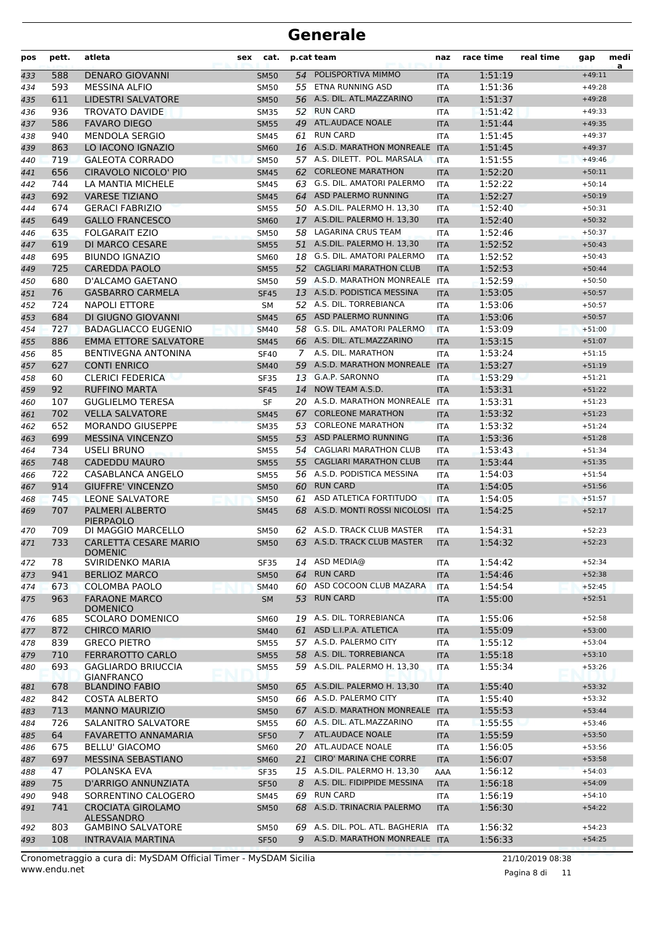| pos | pett. | atleta                                  | sex | cat.        |             | p.cat team                      | naz        | race time | real time | gap      | medi<br>a |
|-----|-------|-----------------------------------------|-----|-------------|-------------|---------------------------------|------------|-----------|-----------|----------|-----------|
| 433 | 588   | <b>DENARO GIOVANNI</b>                  |     | <b>SM50</b> | 54          | POLISPORTIVA MIMMO              | <b>ITA</b> | 1:51:19   |           | $+49:11$ |           |
| 434 | 593   | <b>MESSINA ALFIO</b>                    |     | <b>SM50</b> |             | 55 ETNA RUNNING ASD             | <b>ITA</b> | 1:51:36   |           | $+49:28$ |           |
| 435 | 611   | LIDESTRI SALVATORE                      |     | <b>SM50</b> |             | 56 A.S. DIL. ATL.MAZZARINO      | <b>ITA</b> | 1:51:37   |           | $+49:28$ |           |
| 436 | 936   | <b>TROVATO DAVIDE</b>                   |     | <b>SM35</b> | 52          | <b>RUN CARD</b>                 | <b>ITA</b> | 1:51:42   |           | $+49:33$ |           |
| 437 | 586   | <b>FAVARO DIEGO</b>                     |     | <b>SM55</b> | 49          | <b>ATL.AUDACE NOALE</b>         | <b>ITA</b> | 1:51:44   |           | $+49:35$ |           |
| 438 | 940   | <b>MENDOLA SERGIO</b>                   |     | <b>SM45</b> | 61          | <b>RUN CARD</b>                 | <b>ITA</b> | 1:51:45   |           | $+49:37$ |           |
| 439 | 863   | LO IACONO IGNAZIO                       |     | <b>SM60</b> |             | 16 A.S.D. MARATHON MONREALE     | <b>ITA</b> | 1:51:45   |           | $+49:37$ |           |
| 440 | 719   | <b>GALEOTA CORRADO</b>                  |     | <b>SM50</b> |             | 57 A.S. DILETT. POL. MARSALA    | <b>ITA</b> | 1:51:55   |           | $+49:46$ |           |
| 441 | 656   | CIRAVOLO NICOLO' PIO                    |     | <b>SM45</b> |             | 62 CORLEONE MARATHON            | <b>ITA</b> | 1:52:20   |           | $+50:11$ |           |
| 442 | 744   | LA MANTIA MICHELE                       |     | <b>SM45</b> | 63          | G.S. DIL. AMATORI PALERMO       | <b>ITA</b> | 1:52:22   |           | $+50:14$ |           |
| 443 | 692   | <b>VARESE TIZIANO</b>                   |     | <b>SM45</b> | 64          | ASD PALERMO RUNNING             | <b>ITA</b> | 1:52:27   |           | $+50:19$ |           |
| 444 | 674   | <b>GERACI FABRIZIO</b>                  |     | <b>SM55</b> |             | 50 A.S.DIL. PALERMO H. 13,30    | <b>ITA</b> | 1:52:40   |           | $+50:31$ |           |
| 445 | 649   | <b>GALLO FRANCESCO</b>                  |     | <b>SM60</b> |             | 17 A.S.DIL. PALERMO H. 13,30    | <b>ITA</b> | 1:52:40   |           | $+50:32$ |           |
| 446 | 635   | <b>FOLGARAIT EZIO</b>                   |     | <b>SM50</b> |             | 58 LAGARINA CRUS TEAM           | <b>ITA</b> | 1:52:46   |           | $+50:37$ |           |
| 447 | 619   | DI MARCO CESARE                         |     | <b>SM55</b> |             | 51 A.S.DIL. PALERMO H. 13,30    | <b>ITA</b> | 1:52:52   |           | $+50:43$ |           |
| 448 | 695   | <b>BIUNDO IGNAZIO</b>                   |     | <b>SM60</b> | 18          | G.S. DIL. AMATORI PALERMO       | <b>ITA</b> | 1:52:52   |           | $+50:43$ |           |
| 449 | 725   | <b>CAREDDA PAOLO</b>                    |     | <b>SM55</b> | 52          | <b>CAGLIARI MARATHON CLUB</b>   | <b>ITA</b> | 1:52:53   |           | $+50:44$ |           |
| 450 | 680   | D'ALCAMO GAETANO                        |     | <b>SM50</b> |             | 59 A.S.D. MARATHON MONREALE     | <b>ITA</b> | 1:52:59   |           | $+50:50$ |           |
| 451 | 76    | <b>GASBARRO CARMELA</b>                 |     | <b>SF45</b> |             | 13 A.S.D. PODISTICA MESSINA     | <b>ITA</b> | 1:53:05   |           | $+50:57$ |           |
| 452 | 724   | <b>NAPOLI ETTORE</b>                    |     | <b>SM</b>   |             | 52 A.S. DIL. TORREBIANCA        | <b>ITA</b> | 1:53:06   |           | $+50:57$ |           |
| 453 | 684   | DI GIUGNO GIOVANNI                      |     | <b>SM45</b> | 65          | ASD PALERMO RUNNING             | <b>ITA</b> | 1:53:06   |           | $+50:57$ |           |
| 454 | 727   | <b>BADAGLIACCO EUGENIO</b>              |     | <b>SM40</b> | 58          | G.S. DIL. AMATORI PALERMO       | <b>ITA</b> | 1:53:09   |           | $+51:00$ |           |
| 455 | 886   | <b>EMMA ETTORE SALVATORE</b>            |     | <b>SM45</b> |             | 66 A.S. DIL. ATL.MAZZARINO      | <b>ITA</b> | 1:53:15   |           | $+51:07$ |           |
| 456 | 85    | <b>BENTIVEGNA ANTONINA</b>              |     | <b>SF40</b> | 7           | A.S. DIL. MARATHON              | <b>ITA</b> | 1:53:24   |           | $+51:15$ |           |
| 457 | 627   | <b>CONTI ENRICO</b>                     |     | <b>SM40</b> |             | 59 A.S.D. MARATHON MONREALE     | <b>ITA</b> | 1:53:27   |           | $+51:19$ |           |
| 458 | 60    | <b>CLERICI FEDERICA</b>                 |     | <b>SF35</b> |             | 13 G.A.P. SARONNO               | <b>ITA</b> | 1:53:29   |           | $+51:21$ |           |
| 459 | 92    | <b>RUFFINO MARTA</b>                    |     | <b>SF45</b> | 14          | NOW TEAM A.S.D.                 | <b>ITA</b> | 1:53:31   |           | $+51:22$ |           |
| 460 | 107   | <b>GUGLIELMO TERESA</b>                 |     | <b>SF</b>   |             | 20 A.S.D. MARATHON MONREALE     | <b>ITA</b> | 1:53:31   |           | $+51:23$ |           |
| 461 | 702   | <b>VELLA SALVATORE</b>                  |     | <b>SM45</b> | 67          | <b>CORLEONE MARATHON</b>        | <b>ITA</b> | 1:53:32   |           | $+51:23$ |           |
| 462 | 652   | <b>MORANDO GIUSEPPE</b>                 |     | <b>SM35</b> | 53          | <b>CORLEONE MARATHON</b>        | <b>ITA</b> | 1:53:32   |           | $+51:24$ |           |
| 463 | 699   | <b>MESSINA VINCENZO</b>                 |     | <b>SM55</b> | 53          | ASD PALERMO RUNNING             | <b>ITA</b> | 1:53:36   |           | $+51:28$ |           |
| 464 | 734   | <b>USELI BRUNO</b>                      |     | <b>SM55</b> |             | 54 CAGLIARI MARATHON CLUB       | <b>ITA</b> | 1:53:43   |           | $+51:34$ |           |
| 465 | 748   | CADEDDU MAURO                           |     | <b>SM55</b> | 55          | <b>CAGLIARI MARATHON CLUB</b>   | <b>ITA</b> | 1:53:44   |           | $+51:35$ |           |
| 466 | 722   | CASABLANCA ANGELO                       |     | <b>SM55</b> |             | 56 A.S.D. PODISTICA MESSINA     | <b>ITA</b> | 1:54:03   |           | $+51:54$ |           |
| 467 | 914   | <b>GIUFFRE' VINCENZO</b>                |     | <b>SM50</b> | 60          | <b>RUN CARD</b>                 | <b>ITA</b> | 1:54:05   |           | $+51:56$ |           |
| 468 | 745   | <b>LEONE SALVATORE</b>                  |     | <b>SM50</b> | 61          | ASD ATLETICA FORTITUDO          | <b>ITA</b> | 1:54:05   |           | $+51:57$ |           |
| 469 | 707   | PALMERI ALBERTO                         |     | <b>SM45</b> |             | 68 A.S.D. MONTI ROSSI NICOLOSI  | <b>ITA</b> | 1:54:25   |           | $+52:17$ |           |
|     |       | <b>PIERPAOLO</b>                        |     |             |             |                                 |            |           |           |          |           |
| 470 | 709   | DI MAGGIO MARCELLO                      |     | <b>SM50</b> |             | 62 A.S.D. TRACK CLUB MASTER     | ITA        | 1:54:31   |           | $+52:23$ |           |
| 471 | 733   | CARLETTA CESARE MARIO                   |     | SM50        |             | 63 A.S.D. TRACK CLUB MASTER     | <b>ITA</b> | 1:54:32   |           | $+52:23$ |           |
|     |       | <b>DOMENIC</b><br>SVIRIDENKO MARIA      |     |             |             | 14 ASD MEDIA@                   |            |           |           | $+52:34$ |           |
| 472 | 78    |                                         |     | <b>SF35</b> | 64          | <b>RUN CARD</b>                 | ITA        | 1:54:42   |           | $+52:38$ |           |
| 473 | 941   | <b>BERLIOZ MARCO</b>                    |     | <b>SM50</b> |             | ASD COCOON CLUB MAZARA          | <b>ITA</b> | 1:54:46   |           |          |           |
| 474 | 673   | COLOMBA PAOLO                           |     | <b>SM40</b> | 60          |                                 | <b>ITA</b> | 1:54:54   |           | $+52:45$ |           |
| 475 | 963   | <b>FARAONE MARCO</b><br><b>DOMENICO</b> |     | <b>SM</b>   |             | 53 RUN CARD                     | <b>ITA</b> | 1:55:00   |           | $+52:51$ |           |
| 476 | 685   | <b>SCOLARO DOMENICO</b>                 |     | <b>SM60</b> |             | 19 A.S. DIL. TORREBIANCA        | ITA        | 1:55:06   |           | $+52:58$ |           |
| 477 | 872   | <b>CHIRCO MARIO</b>                     |     | <b>SM40</b> | 61          | ASD L.I.P.A. ATLETICA           | <b>ITA</b> | 1:55:09   |           | $+53:00$ |           |
| 478 | 839   | <b>GRECO PIETRO</b>                     |     | <b>SM55</b> |             | 57 A.S.D. PALERMO CITY          | <b>ITA</b> | 1:55:12   |           | $+53:04$ |           |
| 479 | 710   | FERRAROTTO CARLO                        |     | <b>SM55</b> |             | 58 A.S. DIL. TORREBIANCA        | <b>ITA</b> | 1:55:18   |           | $+53:10$ |           |
| 480 | 693   | <b>GAGLIARDO BRIUCCIA</b>               |     | <b>SM55</b> |             | 59 A.S.DIL. PALERMO H. 13,30    | ITA        | 1:55:34   |           | $+53:26$ |           |
|     |       | <b>GIANFRANCO</b>                       |     |             |             |                                 |            |           |           |          |           |
| 481 | 678   | <b>BLANDINO FABIO</b>                   |     | <b>SM50</b> |             | 65 A.S.DIL. PALERMO H. 13,30    | <b>ITA</b> | 1:55:40   |           | $+53:32$ |           |
| 482 | 842   | <b>COSTA ALBERTO</b>                    |     | <b>SM50</b> |             | 66 A.S.D. PALERMO CITY          | ITA        | 1:55:40   |           | $+53:32$ |           |
| 483 | 713   | <b>MANNO MAURIZIO</b>                   |     | <b>SM50</b> |             | 67 A.S.D. MARATHON MONREALE     | <b>ITA</b> | 1:55:53   |           | $+53:44$ |           |
| 484 | 726   | SALANITRO SALVATORE                     |     | <b>SM55</b> |             | 60 A.S. DIL. ATL.MAZZARINO      | <b>ITA</b> | 1:55:55   |           | $+53:46$ |           |
| 485 | 64    | FAVARETTO ANNAMARIA                     |     | <b>SF50</b> | $7^{\circ}$ | <b>ATL.AUDACE NOALE</b>         | <b>ITA</b> | 1:55:59   |           | $+53:50$ |           |
| 486 | 675   | <b>BELLU' GIACOMO</b>                   |     | <b>SM60</b> |             | 20 ATL.AUDACE NOALE             | ITA        | 1:56:05   |           | $+53:56$ |           |
| 487 | 697   | MESSINA SEBASTIANO                      |     | <b>SM60</b> | 21          | <b>CIRO' MARINA CHE CORRE</b>   | <b>ITA</b> | 1:56:07   |           | $+53:58$ |           |
| 488 | 47    | POLANSKA EVA                            |     | <b>SF35</b> |             | 15 A.S.DIL. PALERMO H. 13,30    | AAA        | 1:56:12   |           | $+54:03$ |           |
| 489 | 75    | D'ARRIGO ANNUNZIATA                     |     | <b>SF50</b> | 8           | A.S. DIL. FIDIPPIDE MESSINA     | <b>ITA</b> | 1:56:18   |           | $+54:09$ |           |
| 490 | 948   | SORRENTINO CALOGERO                     |     | SM45        | 69          | <b>RUN CARD</b>                 | ITA        | 1:56:19   |           | $+54:10$ |           |
| 491 | 741   | <b>CROCIATA GIROLAMO</b>                |     | <b>SM50</b> |             | 68 A.S.D. TRINACRIA PALERMO     | <b>ITA</b> | 1:56:30   |           | $+54:22$ |           |
|     |       | ALESSANDRO                              |     |             |             |                                 |            |           |           |          |           |
| 492 | 803   | <b>GAMBINO SALVATORE</b>                |     | <b>SM50</b> |             | 69 A.S. DIL. POL. ATL. BAGHERIA | <b>ITA</b> | 1:56:32   |           | $+54:23$ |           |
| 493 | 108   | <b>INTRAVAIA MARTINA</b>                |     | <b>SF50</b> |             | 9 A.S.D. MARATHON MONREALE ITA  |            | 1:56:33   |           | $+54:25$ |           |

Pagina 8 di 11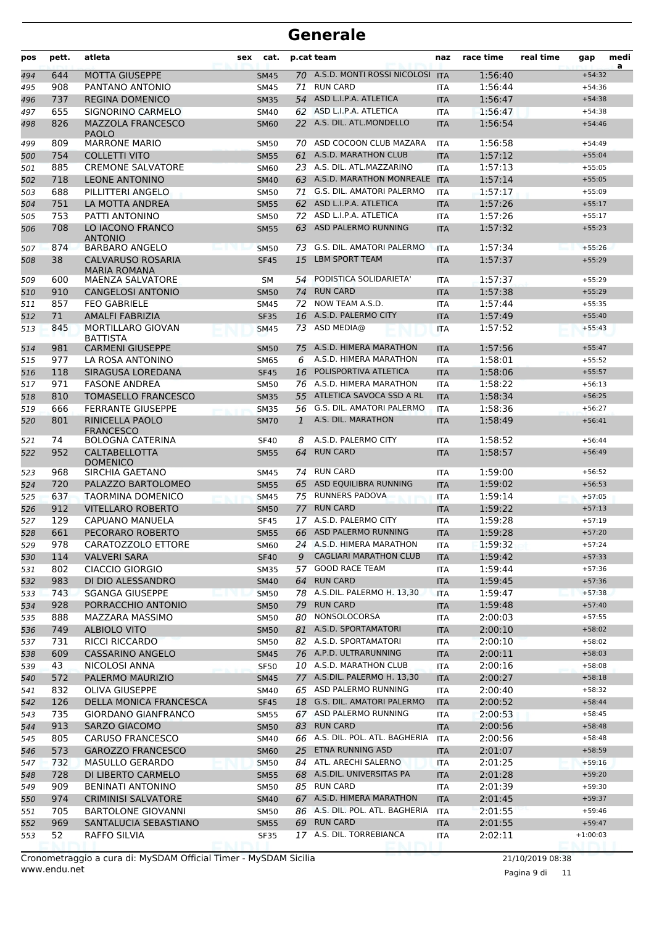| pos        | pett.      | atleta                                                      | sex | cat.                     |              | p.cat team                                       | naz                      | race time          | real time | gap                  | medi<br>a |
|------------|------------|-------------------------------------------------------------|-----|--------------------------|--------------|--------------------------------------------------|--------------------------|--------------------|-----------|----------------------|-----------|
| 494        | 644        | <b>MOTTA GIUSEPPE</b>                                       |     | <b>SM45</b>              |              | 70 A.S.D. MONTI ROSSI NICOLOSI                   | <b>ITA</b>               | 1:56:40            |           | $+54:32$             |           |
| 495        | 908        | PANTANO ANTONIO                                             |     | <b>SM45</b>              | 71           | <b>RUN CARD</b>                                  | <b>ITA</b>               | 1:56:44            |           | $+54:36$             |           |
| 496        | 737        | <b>REGINA DOMENICO</b>                                      |     | <b>SM35</b>              | 54           | ASD L.I.P.A. ATLETICA                            | <b>ITA</b>               | 1:56:47            |           | $+54:38$             |           |
| 497        | 655        | SIGNORINO CARMELO                                           |     | <b>SM40</b>              | 62           | ASD L.I.P.A. ATLETICA                            | <b>ITA</b>               | 1:56:47            |           | $+54:38$             |           |
| 498        | 826        | <b>MAZZOLA FRANCESCO</b><br><b>PAOLO</b>                    |     | <b>SM60</b>              |              | 22 A.S. DIL. ATL.MONDELLO                        | <b>ITA</b>               | 1:56:54            |           | $+54:46$             |           |
| 499        | 809        | <b>MARRONE MARIO</b>                                        |     | <b>SM50</b>              | 70           | ASD COCOON CLUB MAZARA                           | <b>ITA</b>               | 1:56:58            |           | $+54:49$             |           |
| 500        | 754        | <b>COLLETTI VITO</b>                                        |     | <b>SM55</b>              |              | 61 A.S.D. MARATHON CLUB                          | <b>ITA</b>               | 1:57:12            |           | $+55:04$             |           |
| 501        | 885        | <b>CREMONE SALVATORE</b>                                    |     | <b>SM60</b>              |              | 23 A.S. DIL. ATL.MAZZARINO                       | <b>ITA</b>               | 1:57:13            |           | $+55:05$             |           |
| 502        | 718        | <b>LEONE ANTONINO</b>                                       |     | <b>SM40</b>              |              | 63 A.S.D. MARATHON MONREALE                      | <b>ITA</b>               | 1:57:14            |           | $+55:05$             |           |
| 503        | 688        | PILLITTERI ANGELO                                           |     | <b>SM50</b>              |              | 71 G.S. DIL. AMATORI PALERMO                     | <b>ITA</b>               | 1:57:17            |           | $+55:09$             |           |
| 504        | 751        | LA MOTTA ANDREA                                             |     | <b>SM55</b>              | 62           | ASD L.I.P.A. ATLETICA                            | <b>ITA</b>               | 1:57:26            |           | $+55:17$             |           |
| 505        | 753        | PATTI ANTONINO                                              |     | <b>SM50</b>              |              | 72 ASD L.I.P.A. ATLETICA                         | <b>ITA</b>               | 1:57:26            |           | $+55:17$             |           |
| 506        | 708<br>874 | LO IACONO FRANCO<br><b>ANTONIO</b><br><b>BARBARO ANGELO</b> |     | <b>SM55</b>              | 63<br>73     | ASD PALERMO RUNNING<br>G.S. DIL. AMATORI PALERMO | <b>ITA</b>               | 1:57:32<br>1:57:34 |           | $+55:23$<br>$+55:26$ |           |
| 507        | 38         | <b>CALVARUSO ROSARIA</b>                                    |     | <b>SM50</b>              | 15           | <b>LBM SPORT TEAM</b>                            | <b>ITA</b>               | 1:57:37            |           | $+55:29$             |           |
| 508<br>509 | 600        | <b>MARIA ROMANA</b><br><b>MAENZA SALVATORE</b>              |     | <b>SF45</b><br><b>SM</b> | 54           | PODISTICA SOLIDARIETA'                           | <b>ITA</b><br><b>ITA</b> | 1:57:37            |           | $+55:29$             |           |
| 510        | 910        | <b>CANGELOSI ANTONIO</b>                                    |     | <b>SM50</b>              | 74           | <b>RUN CARD</b>                                  | <b>ITA</b>               | 1:57:38            |           | $+55:29$             |           |
| 511        | 857        | <b>FEO GABRIELE</b>                                         |     | <b>SM45</b>              | 72           | NOW TEAM A.S.D.                                  | <b>ITA</b>               | 1:57:44            |           | $+55:35$             |           |
| 512        | 71         | <b>AMALFI FABRIZIA</b>                                      |     | <b>SF35</b>              | 16           | A.S.D. PALERMO CITY                              | <b>ITA</b>               | 1:57:49            |           | $+55:40$             |           |
| 513        | 845        | <b>MORTILLARO GIOVAN</b>                                    |     | <b>SM45</b>              | 73           | ASD MEDIA@                                       | <b>ITA</b>               | 1:57:52            |           | $+55:43$             |           |
| 514        | 981        | <b>BATTISTA</b><br><b>CARMENI GIUSEPPE</b>                  |     | <b>SM50</b>              | 75           | A.S.D. HIMERA MARATHON                           | <b>ITA</b>               | 1:57:56            |           | $+55:47$             |           |
| 515        | 977        | LA ROSA ANTONINO                                            |     | <b>SM65</b>              | 6            | A.S.D. HIMERA MARATHON                           | <b>ITA</b>               | 1:58:01            |           | $+55:52$             |           |
| 516        | 118        | SIRAGUSA LOREDANA                                           |     | <b>SF45</b>              | 16           | POLISPORTIVA ATLETICA                            | <b>ITA</b>               | 1:58:06            |           | $+55:57$             |           |
| 517        | 971        | <b>FASONE ANDREA</b>                                        |     | <b>SM50</b>              |              | 76 A.S.D. HIMERA MARATHON                        | <b>ITA</b>               | 1:58:22            |           | $+56:13$             |           |
| 518        | 810        | <b>TOMASELLO FRANCESCO</b>                                  |     | <b>SM35</b>              | 55           | ATLETICA SAVOCA SSD A RL                         | <b>ITA</b>               | 1:58:34            |           | $+56:25$             |           |
| 519        | 666        | <b>FERRANTE GIUSEPPE</b>                                    |     | <b>SM35</b>              | 56           | G.S. DIL. AMATORI PALERMO                        | <b>ITA</b>               | 1:58:36            |           | $+56:27$             |           |
| 520        | 801        | <b>RINICELLA PAOLO</b><br><b>FRANCESCO</b>                  |     | <b>SM70</b>              | $\mathbf{1}$ | A.S. DIL. MARATHON                               | <b>ITA</b>               | 1:58:49            |           | $+56:41$             |           |
| 521        | 74         | <b>BOLOGNA CATERINA</b>                                     |     | <b>SF40</b>              | 8            | A.S.D. PALERMO CITY                              | <b>ITA</b>               | 1:58:52            |           | $+56:44$             |           |
| 522        | 952        | <b>CALTABELLOTTA</b><br><b>DOMENICO</b>                     |     | <b>SM55</b>              | 64           | <b>RUN CARD</b>                                  | <b>ITA</b>               | 1:58:57            |           | $+56:49$             |           |
| 523        | 968        | SIRCHIA GAETANO                                             |     | SM45                     | 74           | <b>RUN CARD</b>                                  | <b>ITA</b>               | 1:59:00            |           | $+56:52$             |           |
| 524        | 720        | PALAZZO BARTOLOMEO                                          |     | <b>SM55</b>              | 65           | ASD EQUILIBRA RUNNING                            | <b>ITA</b>               | 1:59:02            |           | $+56:53$             |           |
| 525        | 637        | <b>TAORMINA DOMENICO</b>                                    |     | <b>SM45</b>              | 75           | <b>RUNNERS PADOVA</b>                            | <b>ITA</b>               | 1:59:14            |           | $+57:05$             |           |
| 526        | 912        | <b>VITELLARO ROBERTO</b>                                    |     | <b>SM50</b>              | 77           | <b>RUN CARD</b>                                  | <b>ITA</b>               | 1:59:22            |           | $+57:13$             |           |
| 527        | 129        | CAPUANO MANUELA                                             |     | <b>SF45</b>              | 17           | A.S.D. PALERMO CITY                              | <b>ITA</b>               | 1:59:28            |           | $+57:19$             |           |
| 528        | 661        | PECORARO ROBERTO                                            |     | <b>SM55</b>              |              | 66 ASD PALERMO RUNNING                           | <b>ITA</b>               | 1:59:28            |           | $+57:20$             |           |
| 529        | 978        | CARATOZZOLO ETTORE                                          |     | <b>SM60</b>              |              | 24 A.S.D. HIMERA MARATHON                        | ITA                      | 1:59:32            |           | $+57:24$             |           |
| 530        | 114        | <b>VALVERI SARA</b>                                         |     | <b>SF40</b>              | 9            | <b>CAGLIARI MARATHON CLUB</b>                    | <b>ITA</b>               | 1:59:42            |           | $+57:33$             |           |
| 531        | 802        | <b>CIACCIO GIORGIO</b>                                      |     | <b>SM35</b>              |              | 57 GOOD RACE TEAM                                | ITA                      | 1:59:44            |           | $+57:36$             |           |
| 532        | 983        | DI DIO ALESSANDRO                                           |     | <b>SM40</b>              | 64           | <b>RUN CARD</b>                                  | <b>ITA</b>               | 1:59:45            |           | $+57:36$             |           |
| 533        | 743        | <b>SGANGA GIUSEPPE</b>                                      |     | <b>SM50</b>              |              | 78 A.S.DIL. PALERMO H. 13,30                     | <b>ITA</b>               | 1:59:47            |           | $+57:38$             |           |
| 534        | 928        | PORRACCHIO ANTONIO                                          |     | <b>SM50</b>              | 79           | <b>RUN CARD</b>                                  | <b>ITA</b>               | 1:59:48            |           | $+57:40$             |           |
| 535        | 888        | MAZZARA MASSIMO                                             |     | SM50                     | 80           | NONSOLOCORSA                                     | ITA                      | 2:00:03            |           | $+57:55$             |           |
| 536        | 749        | <b>ALBIOLO VITO</b>                                         |     | <b>SM50</b>              |              | 81 A.S.D. SPORTAMATORI                           | <b>ITA</b>               | 2:00:10            |           | $+58:02$             |           |
| 537        | 731        | <b>RICCI RICCARDO</b>                                       |     | SM50                     |              | 82 A.S.D. SPORTAMATORI                           | ITA                      | 2:00:10            |           | $+58:02$             |           |
| 538        | 609        | CASSARINO ANGELO                                            |     | <b>SM45</b>              |              | 76 A.P.D. ULTRARUNNING                           | <b>ITA</b>               | 2:00:11            |           | $+58:03$             |           |
| 539        | 43         | NICOLOSI ANNA                                               |     | <b>SF50</b>              |              | 10 A.S.D. MARATHON CLUB                          | ITA                      | 2:00:16            |           | $+58:08$             |           |
| 540        | 572        | PALERMO MAURIZIO                                            |     | <b>SM45</b>              |              | 77 A.S.DIL. PALERMO H. 13,30                     | <b>ITA</b>               | 2:00:27            |           | $+58:18$             |           |
| 541        | 832        | <b>OLIVA GIUSEPPE</b>                                       |     | SM40                     |              | 65 ASD PALERMO RUNNING                           | ITA                      | 2:00:40            |           | $+58:32$             |           |
| 542        | 126        | DELLA MONICA FRANCESCA                                      |     | <b>SF45</b>              |              | 18 G.S. DIL. AMATORI PALERMO                     | <b>ITA</b>               | 2:00:52            |           | $+58:44$             |           |
| 543        | 735        | <b>GIORDANO GIANFRANCO</b>                                  |     | <b>SM55</b>              |              | 67 ASD PALERMO RUNNING                           | ITA                      | 2:00:53            |           | $+58:45$             |           |
| 544        | 913        | <b>SARZO GIACOMO</b>                                        |     | <b>SM50</b>              |              | 83 RUN CARD                                      | <b>ITA</b>               | 2:00:56            |           | $+58:48$             |           |
| 545        | 805        | CARUSO FRANCESCO                                            |     | SM40                     |              | 66 A.S. DIL. POL. ATL. BAGHERIA                  | ITA                      | 2:00:56            |           | $+58:48$             |           |
| 546        | 573        | <b>GAROZZO FRANCESCO</b>                                    |     | <b>SM60</b>              | 25           | ETNA RUNNING ASD                                 | <b>ITA</b>               | 2:01:07            |           | $+58:59$             |           |
| 547        | 732        | <b>MASULLO GERARDO</b>                                      |     | <b>SM50</b>              |              | 84 ATL. ARECHI SALERNO                           | <b>ITA</b>               | 2:01:25            |           | $+59:16$             |           |
| 548        | 728        | DI LIBERTO CARMELO                                          |     | <b>SM55</b>              |              | 68 A.S.DIL. UNIVERSITAS PA                       | <b>ITA</b>               | 2:01:28            |           | $+59:20$             |           |
| 549        | 909        | <b>BENINATI ANTONINO</b>                                    |     | SM50                     |              | 85 RUN CARD                                      | ITA                      | 2:01:39            |           | $+59:30$             |           |
| 550        | 974        | <b>CRIMINISI SALVATORE</b>                                  |     | <b>SM40</b>              |              | 67 A.S.D. HIMERA MARATHON                        | <b>ITA</b>               | 2:01:45            |           | $+59:37$             |           |
| 551        | 705        | <b>BARTOLONE GIOVANNI</b>                                   |     | SM50                     |              | 86 A.S. DIL. POL. ATL. BAGHERIA                  | ITA                      | 2:01:55            |           | $+59:46$             |           |
| 552        | 969        | SANTALUCIA SEBASTIANO                                       |     | <b>SM55</b>              |              | 69 RUN CARD<br>17 A.S. DIL. TORREBIANCA          | <b>ITA</b>               | 2:01:55            |           | $+59:47$             |           |
| 553        | 52         | RAFFO SILVIA                                                |     | <b>SF35</b>              |              |                                                  | ITA                      | 2:02:11            |           | $+1:00:03$           |           |

Pagina 9 di 11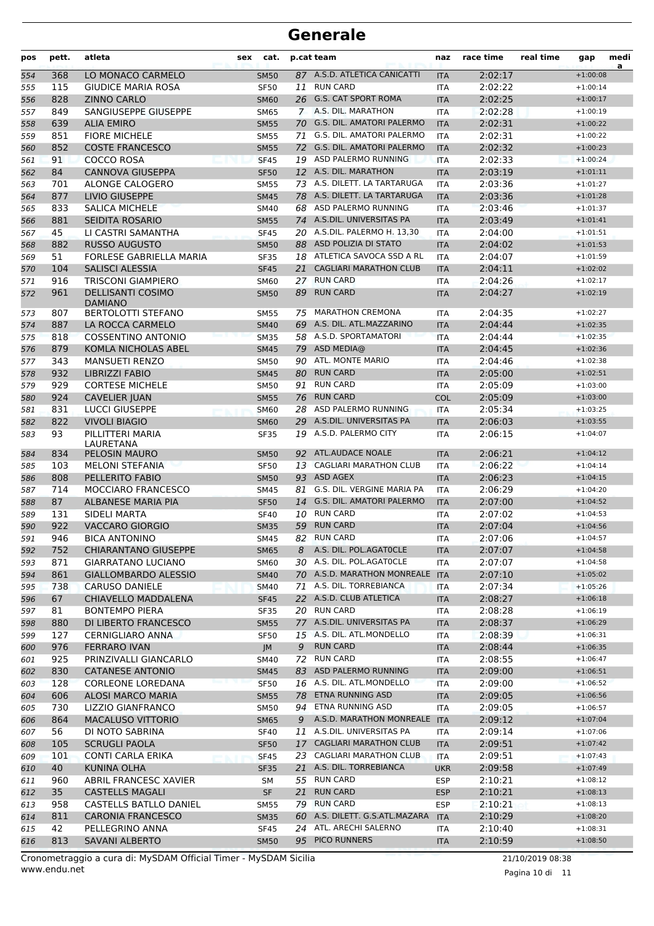| pos | pett. | atleta                                     | sex | cat.        |    | p.cat team                     | naz        | race time | real time | gap        | medi<br>a |
|-----|-------|--------------------------------------------|-----|-------------|----|--------------------------------|------------|-----------|-----------|------------|-----------|
| 554 | 368   | LO MONACO CARMELO                          |     | <b>SM50</b> |    | 87 A.S.D. ATLETICA CANICATTI   | <b>ITA</b> | 2:02:17   |           | $+1:00:08$ |           |
| 555 | 115   | <b>GIUDICE MARIA ROSA</b>                  |     | <b>SF50</b> | 11 | <b>RUN CARD</b>                | ITA        | 2:02:22   |           | $+1:00:14$ |           |
| 556 | 828   | <b>ZINNO CARLO</b>                         |     | <b>SM60</b> |    | 26 G.S. CAT SPORT ROMA         | <b>ITA</b> | 2:02:25   |           | $+1:00:17$ |           |
| 557 | 849   | SANGIUSEPPE GIUSEPPE                       |     | <b>SM65</b> |    | 7 A.S. DIL. MARATHON           | <b>ITA</b> | 2:02:28   |           | $+1:00:19$ |           |
| 558 | 639   | <b>ALIA EMIRO</b>                          |     | <b>SM55</b> |    | 70 G.S. DIL. AMATORI PALERMO   | <b>ITA</b> | 2:02:31   |           | $+1:00:22$ |           |
| 559 | 851   | <b>FIORE MICHELE</b>                       |     | <b>SM55</b> | 71 | G.S. DIL. AMATORI PALERMO      | ITA        | 2:02:31   |           | $+1:00:22$ |           |
| 560 | 852   | <b>COSTE FRANCESCO</b>                     |     | <b>SM55</b> |    | 72 G.S. DIL. AMATORI PALERMO   | <b>ITA</b> | 2:02:32   |           | $+1:00:23$ |           |
| 561 | 91    | <b>COCCO ROSA</b>                          |     | <b>SF45</b> |    | 19 ASD PALERMO RUNNING         | <b>ITA</b> | 2:02:33   |           | $+1:00:24$ |           |
| 562 | 84    | <b>CANNOVA GIUSEPPA</b>                    |     | <b>SF50</b> |    | 12 A.S. DIL. MARATHON          | <b>ITA</b> | 2:03:19   |           | $+1:01:11$ |           |
| 563 | 701   | ALONGE CALOGERO                            |     | <b>SM55</b> |    | 73 A.S. DILETT. LA TARTARUGA   | <b>ITA</b> | 2:03:36   |           | $+1:01:27$ |           |
| 564 | 877   | LIVIO GIUSEPPE                             |     | <b>SM45</b> |    | 78 A.S. DILETT. LA TARTARUGA   | <b>ITA</b> | 2:03:36   |           | $+1:01:28$ |           |
| 565 | 833   | <b>SALICA MICHELE</b>                      |     | <b>SM40</b> |    | 68 ASD PALERMO RUNNING         | ITA        | 2:03:46   |           | $+1:01:37$ |           |
| 566 | 881   | SEIDITA ROSARIO                            |     | <b>SM55</b> |    | 74 A.S.DIL. UNIVERSITAS PA     | <b>ITA</b> | 2:03:49   |           | $+1:01:41$ |           |
| 567 | 45    | LI CASTRI SAMANTHA                         |     | <b>SF45</b> |    | 20 A.S.DIL. PALERMO H. 13,30   | ITA        | 2:04:00   |           | $+1:01:51$ |           |
| 568 | 882   | <b>RUSSO AUGUSTO</b>                       |     | <b>SM50</b> |    | 88 ASD POLIZIA DI STATO        | <b>ITA</b> | 2:04:02   |           | $+1:01:53$ |           |
| 569 | 51    | <b>FORLESE GABRIELLA MARIA</b>             |     | <b>SF35</b> |    | 18 ATLETICA SAVOCA SSD A RL    | <b>ITA</b> | 2:04:07   |           | $+1:01:59$ |           |
| 570 | 104   | <b>SALISCI ALESSIA</b>                     |     | <b>SF45</b> | 21 | <b>CAGLIARI MARATHON CLUB</b>  | <b>ITA</b> | 2:04:11   |           | $+1:02:02$ |           |
| 571 | 916   | <b>TRISCONI GIAMPIERO</b>                  |     | SM60        |    | 27 RUN CARD                    | <b>ITA</b> | 2:04:26   |           | $+1:02:17$ |           |
| 572 | 961   | <b>DELLISANTI COSIMO</b><br><b>DAMIANO</b> |     | <b>SM50</b> | 89 | <b>RUN CARD</b>                | <b>ITA</b> | 2:04:27   |           | $+1:02:19$ |           |
| 573 | 807   | <b>BERTOLOTTI STEFANO</b>                  |     | <b>SM55</b> | 75 | <b>MARATHON CREMONA</b>        | <b>ITA</b> | 2:04:35   |           | $+1:02:27$ |           |
| 574 | 887   | LA ROCCA CARMELO                           |     | <b>SM40</b> |    | 69 A.S. DIL. ATL.MAZZARINO     | <b>ITA</b> | 2:04:44   |           | $+1:02:35$ |           |
| 575 | 818   | <b>COSSENTINO ANTONIO</b>                  |     | <b>SM35</b> |    | 58 A.S.D. SPORTAMATORI         | <b>ITA</b> | 2:04:44   |           | $+1:02:35$ |           |
| 576 | 879   | KOMLA NICHOLAS ABEL                        |     | <b>SM45</b> | 79 | ASD MEDIA@                     | <b>ITA</b> | 2:04:45   |           | $+1:02:36$ |           |
| 577 | 343   | <b>MANSUETI RENZO</b>                      |     | SM50        | 90 | ATL. MONTE MARIO               | <b>ITA</b> | 2:04:46   |           | $+1:02:38$ |           |
| 578 | 932   | <b>LIBRIZZI FABIO</b>                      |     | <b>SM45</b> | 80 | <b>RUN CARD</b>                | <b>ITA</b> | 2:05:00   |           | $+1:02:51$ |           |
| 579 | 929   | <b>CORTESE MICHELE</b>                     |     | <b>SM50</b> | 91 | <b>RUN CARD</b>                | ITA        | 2:05:09   |           | $+1:03:00$ |           |
| 580 | 924   | <b>CAVELIER JUAN</b>                       |     | <b>SM55</b> |    | 76 RUN CARD                    | <b>COL</b> | 2:05:09   |           | $+1:03:00$ |           |
| 581 | 831   | <b>LUCCI GIUSEPPE</b>                      |     | <b>SM60</b> | 28 | ASD PALERMO RUNNING            | <b>ITA</b> | 2:05:34   |           | $+1:03:25$ |           |
| 582 | 822   | <b>VIVOLI BIAGIO</b>                       |     | <b>SM60</b> | 29 | A.S.DIL. UNIVERSITAS PA        | <b>ITA</b> | 2:06:03   |           | $+1:03:55$ |           |
| 583 | 93    | PILLITTERI MARIA<br>LAURETANA              |     | <b>SF35</b> |    | 19 A.S.D. PALERMO CITY         | ITA        | 2:06:15   |           | $+1:04:07$ |           |
| 584 | 834   | <b>PELOSIN MAURO</b>                       |     | <b>SM50</b> |    | 92 ATL.AUDACE NOALE            | <b>ITA</b> | 2:06:21   |           | $+1:04:12$ |           |
| 585 | 103   | <b>MELONI STEFANIA</b>                     |     | <b>SF50</b> |    | 13 CAGLIARI MARATHON CLUB      | <b>ITA</b> | 2:06:22   |           | $+1:04:14$ |           |
| 586 | 808   | PELLERITO FABIO                            |     | <b>SM50</b> |    | 93 ASD AGEX                    | <b>ITA</b> | 2:06:23   |           | $+1:04:15$ |           |
| 587 | 714   | <b>MOCCIARO FRANCESCO</b>                  |     | SM45        |    | 81 G.S. DIL. VERGINE MARIA PA  | ITA        | 2:06:29   |           | $+1:04:20$ |           |
| 588 | 87    | <b>ALBANESE MARIA PIA</b>                  |     | <b>SF50</b> | 14 | G.S. DIL. AMATORI PALERMO      | <b>ITA</b> | 2:07:00   |           | $+1:04:52$ |           |
| 589 | 131   | <b>SIDELI MARTA</b>                        |     | <b>SF40</b> | 10 | <b>RUN CARD</b>                | <b>ITA</b> | 2:07:02   |           | $+1:04:53$ |           |
| 590 | 922   | <b>VACCARO GIORGIO</b>                     |     | <b>SM35</b> | 59 | <b>RUN CARD</b>                | <b>ITA</b> | 2:07:04   |           | $+1:04:56$ |           |
| 591 | 946   | <b>BICA ANTONINO</b>                       |     | <b>SM45</b> | 82 | <b>RUN CARD</b>                | <b>ITA</b> | 2:07:06   |           | $+1:04:57$ |           |
| 592 | 752   | <b>CHIARANTANO GIUSEPPE</b>                |     | <b>SM65</b> |    | 8 A.S. DIL. POL.AGATOCLE       | <b>ITA</b> | 2:07:07   |           | $+1:04:58$ |           |
| 593 | 871   | GIARRATANO LUCIANO                         |     | <b>SM60</b> |    | 30 A.S. DIL. POL.AGATOCLE      | ITA        | 2:07:07   |           | $+1:04:58$ |           |
| 594 | 861   | GIALLOMBARDO ALESSIO                       |     | <b>SM40</b> |    | 70 A.S.D. MARATHON MONREALE    | <b>ITA</b> | 2:07:10   |           | $+1:05:02$ |           |
| 595 | 738   | CARUSO DANIELE                             |     | <b>SM40</b> |    | 71 A.S. DIL. TORREBIANCA       | <b>ITA</b> | 2:07:34   |           | $+1:05:26$ |           |
| 596 | 67    | CHIAVELLO MADDALENA                        |     | <b>SF45</b> |    | 22 A.S.D. CLUB ATLETICA        | <b>ITA</b> | 2:08:27   |           | $+1:06:18$ |           |
| 597 | 81    | <b>BONTEMPO PIERA</b>                      |     | SF35        |    | 20 RUN CARD                    | <b>ITA</b> | 2:08:28   |           | $+1:06:19$ |           |
| 598 | 880   | DI LIBERTO FRANCESCO                       |     | <b>SM55</b> |    | 77 A.S.DIL. UNIVERSITAS PA     | <b>ITA</b> | 2:08:37   |           | $+1:06:29$ |           |
| 599 | 127   | CERNIGLIARO ANNA                           |     | <b>SF50</b> |    | 15 A.S. DIL. ATL.MONDELLO      | ITA        | 2:08:39   |           | $+1:06:31$ |           |
| 600 | 976   | <b>FERRARO IVAN</b>                        |     | JM          | 9  | <b>RUN CARD</b>                | <b>ITA</b> | 2:08:44   |           | $+1:06:35$ |           |
| 601 | 925   | PRINZIVALLI GIANCARLO                      |     | SM40        | 72 | <b>RUN CARD</b>                | <b>ITA</b> | 2:08:55   |           | $+1:06:47$ |           |
| 602 | 830   | <b>CATANESE ANTONIO</b>                    |     | <b>SM45</b> |    | 83 ASD PALERMO RUNNING         | <b>ITA</b> | 2:09:00   |           | $+1:06:51$ |           |
| 603 | 128   | <b>CORLEONE LOREDANA</b>                   |     | <b>SF50</b> |    | 16 A.S. DIL. ATL.MONDELLO      | <b>ITA</b> | 2:09:00   |           | $+1:06:52$ |           |
| 604 | 606   | <b>ALOSI MARCO MARIA</b>                   |     | <b>SM55</b> |    | 78 ETNA RUNNING ASD            | <b>ITA</b> | 2:09:05   |           | $+1:06:56$ |           |
| 605 | 730   | LIZZIO GIANFRANCO                          |     | SM50        |    | 94 ETNA RUNNING ASD            | ITA        | 2:09:05   |           | $+1:06:57$ |           |
| 606 | 864   | <b>MACALUSO VITTORIO</b>                   |     | <b>SM65</b> | 9  | A.S.D. MARATHON MONREALE       | <b>ITA</b> | 2:09:12   |           | $+1:07:04$ |           |
| 607 | 56    | DI NOTO SABRINA                            |     | <b>SF40</b> | 11 | A.S.DIL. UNIVERSITAS PA        | ITA        | 2:09:14   |           | $+1:07:06$ |           |
| 608 | 105   | <b>SCRUGLI PAOLA</b>                       |     | <b>SF50</b> |    | 17 CAGLIARI MARATHON CLUB      | <b>ITA</b> | 2:09:51   |           | $+1:07:42$ |           |
| 609 | 101   | CONTI CARLA ERIKA                          |     | <b>SF45</b> |    | 23 CAGLIARI MARATHON CLUB      | ITA        | 2:09:51   |           | $+1:07:43$ |           |
| 610 | 40    | <b>KUNINA OLHA</b>                         |     | <b>SF35</b> |    | 21 A.S. DIL. TORREBIANCA       | <b>UKR</b> | 2:09:58   |           | $+1:07:49$ |           |
| 611 | 960   | ABRIL FRANCESC XAVIER                      |     | SM          |    | 55 RUN CARD                    | <b>ESP</b> | 2:10:21   |           | $+1:08:12$ |           |
| 612 | 35    | <b>CASTELLS MAGALI</b>                     |     | <b>SF</b>   | 21 | <b>RUN CARD</b>                | <b>ESP</b> | 2:10:21   |           | $+1:08:13$ |           |
| 613 | 958   | CASTELLS BATLLO DANIEL                     |     | <b>SM55</b> |    | 79 RUN CARD                    | <b>ESP</b> | 2:10:21   |           | $+1:08:13$ |           |
| 614 | 811   | <b>CARONIA FRANCESCO</b>                   |     | <b>SM35</b> |    | 60 A.S. DILETT. G.S.ATL.MAZARA | <b>ITA</b> | 2:10:29   |           | $+1:08:20$ |           |
| 615 | 42    | PELLEGRINO ANNA                            |     | <b>SF45</b> |    | 24 ATL. ARECHI SALERNO         | ITA        | 2:10:40   |           | $+1:08:31$ |           |
| 616 | 813   | SAVANI ALBERTO                             |     | <b>SM50</b> |    | 95 PICO RUNNERS                | <b>ITA</b> | 2:10:59   |           | $+1:08:50$ |           |
|     |       |                                            |     |             |    |                                |            |           |           |            |           |